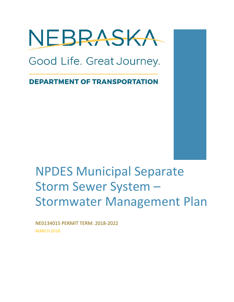

Good Life. Great Journey.

**DEPARTMENT OF TRANSPORTATION** 

# NPDES Municipal Separate Storm Sewer System – Stormwater Management Plan

NE0134015 PERMIT TERM: 2018-2022 **MARCH 2018**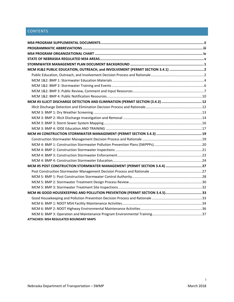# **CONTENTS**

| MCM #1&2 PUBLIC EDUCATION, OUTREACH, and INVOLVEMENT (PERMIT SECTION 3.4.1) 2 |  |
|-------------------------------------------------------------------------------|--|
|                                                                               |  |
|                                                                               |  |
|                                                                               |  |
|                                                                               |  |
|                                                                               |  |
|                                                                               |  |
|                                                                               |  |
|                                                                               |  |
|                                                                               |  |
|                                                                               |  |
|                                                                               |  |
|                                                                               |  |
|                                                                               |  |
|                                                                               |  |
|                                                                               |  |
|                                                                               |  |
|                                                                               |  |
|                                                                               |  |
|                                                                               |  |
|                                                                               |  |
|                                                                               |  |
|                                                                               |  |
|                                                                               |  |
|                                                                               |  |
|                                                                               |  |
|                                                                               |  |
|                                                                               |  |
|                                                                               |  |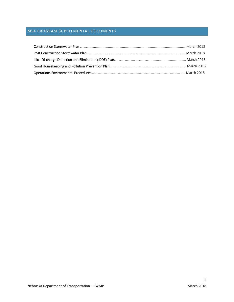# <span id="page-2-0"></span>MS4 PROGRAM SUPPLEMENTAL DOCUMENTS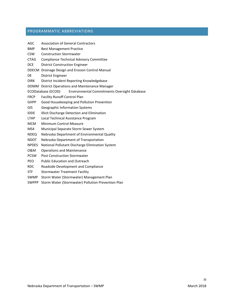# <span id="page-3-0"></span>PROGRAMMATIC ABBREVIATIONS

| AGC          | <b>Association of General Contractors</b>                                 |  |  |  |  |  |
|--------------|---------------------------------------------------------------------------|--|--|--|--|--|
| <b>BMP</b>   | <b>Best Management Practice</b>                                           |  |  |  |  |  |
| <b>CSW</b>   | <b>Construction Stormwater</b>                                            |  |  |  |  |  |
| <b>CTAG</b>  | <b>Compliance Technical Advisory Committee</b>                            |  |  |  |  |  |
| <b>DCE</b>   | <b>District Construction Engineer</b>                                     |  |  |  |  |  |
|              | DDECM Drainage Design and Erosion Control Manual                          |  |  |  |  |  |
| DE           | District Engineer                                                         |  |  |  |  |  |
| <b>DIRK</b>  | District Incident Reporting Knowledgebase                                 |  |  |  |  |  |
|              | DOMM District Operations and Maintenance Manager                          |  |  |  |  |  |
|              | ECODatabase (ECOD)<br><b>Environmental Commitments Oversight Database</b> |  |  |  |  |  |
| <b>FRCP</b>  | <b>Facility Runoff Control Plan</b>                                       |  |  |  |  |  |
| <b>GHPP</b>  | Good Housekeeping and Pollution Prevention                                |  |  |  |  |  |
| <b>GIS</b>   | <b>Geographic Information Systems</b>                                     |  |  |  |  |  |
| <b>IDDE</b>  | Illicit Discharge Detection and Elimination                               |  |  |  |  |  |
| <b>LTAP</b>  | Local Technical Assistance Program                                        |  |  |  |  |  |
| <b>MCM</b>   | Minimum Control Measure                                                   |  |  |  |  |  |
| MS4          | Municipal Separate Storm Sewer System                                     |  |  |  |  |  |
| NDEQ         | Nebraska Department of Environmental Quality                              |  |  |  |  |  |
| <b>NDOT</b>  | Nebraska Department of Transportation                                     |  |  |  |  |  |
| <b>NPDES</b> | National Pollutant Discharge Elimination System                           |  |  |  |  |  |
| 0&M          | <b>Operations and Maintenance</b>                                         |  |  |  |  |  |
| <b>PCSW</b>  | <b>Post Construction Stormwater</b>                                       |  |  |  |  |  |
| PEO          | <b>Public Education and Outreach</b>                                      |  |  |  |  |  |
| RDC.         | Roadside Development and Compliance                                       |  |  |  |  |  |
| <b>STF</b>   | <b>Stormwater Treatment Facility</b>                                      |  |  |  |  |  |
| <b>SWMP</b>  | Storm Water (Stormwater) Management Plan                                  |  |  |  |  |  |
| <b>SWPPP</b> | Storm Water (Stormwater) Pollution Prevention Plan                        |  |  |  |  |  |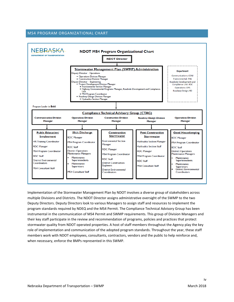#### <span id="page-4-0"></span>MS4 PROGRAM ORGANIZATIONAL CHART



Implementation of the Stormwater Management Plan by NDOT involves a diverse group of stakeholders across multiple Divisions and Districts. The NDOT Director assigns administrative oversight of the SWMP to the two Deputy Directors. Deputy Directors look to various Managers to assign staff and resources to implement the program standards required by NDEQ and the MS4 Permit. The Compliance Technical Advisory Group has been instrumental in the communication of MS4 Permit and SWMP requirements. This group of Division Managers and their key staff participate in the review and recommendation of programs, policies and practices that protect stormwater quality from NDOT operated properties. A host of staff members throughout the Agency play the key role of implementation and communication of the adopted program standards. Throughout the year, these staff members work with NDOT employees, consultants, contractors, vendors and the public to help reinforce and, when necessary, enforce the BMPs represented in this SWMP.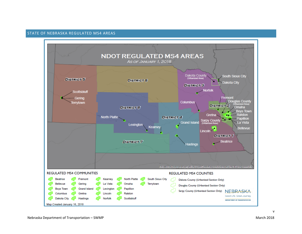#### STATE OF NEBRASKA REGULATED MS4 AREAS

<span id="page-5-0"></span>

v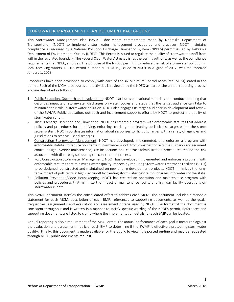## <span id="page-6-0"></span>STORMWATER MANAGEMENT PLAN DOCUMENT BACKGROUND

This Stormwater Management Plan (SWMP) documents commitments made by Nebraska Department of Transportation (NDOT) to implement stormwater management procedures and practices. NDOT maintains compliance as required by a National Pollution Discharge Elimination System (NPDES) permit issued by Nebraska Department of Environmental Quality (NDEQ). This Permit is issued to regulate the quality of stormwater runoff from within the regulated boundary. The Federal Clean Water Act establishes the permit authority as well asthe compliance requirements that NDEQ enforces. The purpose of the NPDES permit is to reduce the risk of stormwater pollution in local receiving waters. NPDES Permit number NE0134015, issued to NDOT in August of 2012, was reauthorized January 1, 2018.

Procedures have been developed to comply with each of the six Minimum Control Measures (MCM) stated in the permit. Each of the MCM procedures and activities is reviewed by the NDEQ as part of the annual reporting process and are described as follows:

- 1. Public Education, Outreach and Involvement: NDOT distributes educational materials and conducts training that describes impacts of stormwater discharges on water bodies and steps that the target audience can take to minimize their role in stormwater pollution. NDOT also engages its target audience in development and review of the SWMP. Public education, outreach and involvement supports efforts by NDOT to protect the quality of stormwater runoff.
- 2. Illicit Discharge Detection and Elimination: NDOT has created a program with enforceable statutes that address policies and procedures for identifying, enforcing, tracking and cleaning up illicit discharges within the storm sewer system. NDOT coordinates information about responses to illicit discharges with a variety of agencies and jurisdictions to resolve illicit discharges.
- 3. Construction Stormwater Management: NDOT has developed, implemented, and enforces a program with enforceable statutes to reduce pollutants in stormwater runoff from construction activities. Erosion and sediment control design, SWPPP maintenance, site inspections and contract administration procedures reduce the risk associated with disturbing soil during the construction process.
- 4. Post Construction Stormwater Management: NDOT has developed, implemented and enforces a program with enforceable statutes that minimizes water quality impacts by requiring Stormwater Treatment Facilities (STF's) to be designed, constructed and maintained on new and re-development projects. NDOT minimizes the longterm impact of pollutants in highway runoff by treating stormwater before it discharges into waters of the state.
- 5. Pollution Prevention/Good Housekeeping: NDOT has created an operation and maintenance program with policies and procedures that minimize the impact of maintenance facility and highway facility operations on stormwater runoff.

This SWMP document satisfies the consolidated effort to address each MCM. The document includes a rationale statement for each MCM, description of each BMP, references to supporting documents, as well as the goals, frequencies, assignments, and evaluation and assessment criteria used by NDOT. The format of the document is consistent throughout and is written in a manner to satisfy specific wording of the NPDES permit. References and supporting documents are listed to clarify where the implementation details for each BMP can be located.

Annual reporting is also a requirement of the MS4 Permit. The annual performance of each goal is measured against the evaluation and assessment metric of each BMP to determine if the SWMP is effectively protecting stormwater quality. Finally, this document is made available for the public to view. It is posted on-line and may be requested through NDOT public documents request.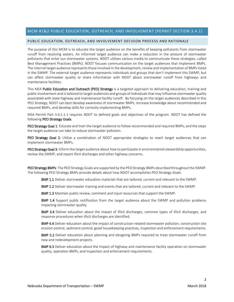## <span id="page-7-0"></span>MCM #1&2 PUBLIC EDUCATION, OUTREACH, AND INVOLVEMENT (PERMIT SECTION 3.4.1)

#### <span id="page-7-1"></span>PUBLIC EDUCATION, OUTREACH, AND INVOLVEMENT DECISION PROCESS AND RATIONALE

The purpose of this MCM is to educate the target audience on the benefits of keeping pollutants from stormwater runoff from receiving waters. An informed target audience can make a reduction in the amount of stormwater pollutants that enter our stormwater systems. NDOT utilizes various media to communicate these strategies, called Best Management Practices (BMPs). NDOT focuses communication on the target audiences that implement BMPs. The internal target audience represents those involved in the development, review and implementation of BMPs listed in the SWMP. The external target audience represents individuals and groups that don't implement this SWMP, but can affect stormwater quality or share information with NDOT about stormwater runoff from highways and maintenance facilities.

This MS4 Public Education and Outreach (PEO) Strategy is a targeted approach to delivering education, training and public involvement and is tailored to target audiences and groups of individuals that may influence stormwater quality associated with state highway and maintenance facility runoff. By focusing on the target audiences described in this PEO Strategy, NDOT can best develop awareness of stormwater BMPs, increase knowledge about recommended and required BMPs, and develop skills for correctly implementing BMPs.

MS4 Permit Part 3.4.1.1.1 requires NDOT to defined goals and objectives of the program. NDOT has defined the following PEO Strategy Goals.

PEO Strategy Goal 1: Educate and train the target audience to follow recommended and required BMPs; and the steps the target audience can take to reduce stormwater pollution.

PEO Strategy Goal 2: Utilize a combination of NDOT appropriate strategies to reach target audiences that can implement stormwater BMPs.

PEO Strategy Goal 3: Inform the target audience about how to participate in environmental stewardship opportunities, review the SWMP, and report illicit discharges and other highway concerns.

PEO Strategy BMPs: The PEO Strategy Goals are supported by the PEO Strategy BMPs described throughout the SWMP. The following PEO Strategy BMPs provide details about how NDOT accomplishes PEO Strategy Goals.

BMP 1.1 Deliver stormwater education materials that are tailored, current and relevant to the SWMP.

BMP 1.2 Deliver stormwater training and events that are tailored, current and relevant to the SWMP.

BMP 1.3 Maintain public review, comment and input resources that support the SWMP.

**BMP 1.4** Support public notification from the target audience about the SWMP and pollution problems impacting stormwater quality.

BMP 3.4 Deliver education about the impact of illicit discharges, common types of illicit discharges, and response procedures when illicit discharges are identified.

**BMP 4.4** Deliver education about the impact of construction-related stormwater pollution, construction site erosion control, sediment control, good housekeeping practices, inspection and enforcement requirements.

BMP 5.2 Deliver education about planning and designing BMPs required to treat stormwater runoff from new and redevelopment projects.

**BMP 6.3** Deliver education about the impact of highway and maintenance facility operation on stormwater quality, operation BMPs, and inspection and enforcement requirements.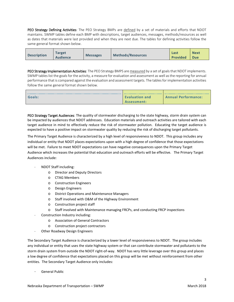PEO Strategy Defining Activities: The PEO Strategy BMPs are defined by a set of materials and efforts that NDOT maintains. SWMP tables define each BMP with descriptions, target audiences, messages, methods/resources as well as dates that materials were last provided and when they are next due. The tables for defining activities follow the same general format shown below.

| <b>Description</b> | <b>Farget</b><br><b>Messages</b><br><b>Audience</b> | <b>Methods/Resources</b> | Last<br><b>Provided</b> | <b>Next</b><br>Due |
|--------------------|-----------------------------------------------------|--------------------------|-------------------------|--------------------|
|--------------------|-----------------------------------------------------|--------------------------|-------------------------|--------------------|

PEO Strategy Implementation Activities: The PEO Strategy BMPS are measured by a set of goals that NDOT implements. SWMP tables list the goals for the activity, a measure for evaluation and assessment as well as the reporting for annual performance that is compared against the evaluation and assessment targets. The tablesfor implementation activities follow the same general format shown below.

| Goals: | <b>Evaluation and</b> | <b>Annual Performance:</b> |
|--------|-----------------------|----------------------------|
|        | Assessment:           |                            |

PEO Strategy Target Audiences: The quality of stormwater discharging to the state highway, storm drain system can be impacted by audiences that NDOT addresses. Education materials and outreach activities are tailored with each target audience in mind to effectively reduce the risk of stormwater pollution. Educating the target audience is expected to have a positive impact on stormwater quality by reducing the risk of discharging target pollutants.

The Primary Target Audience is characterized by a high level of responsiveness to NDOT. This group includes any individual or entity that NDOT places expectations upon with a high degree of confidence that those expectations will be met. Failure to meet NDOT expectations can have negative consequences upon the Primary Target Audience which increases the potential that education and outreach efforts will be effective. The Primary Target Audiences include:

- NDOT Staff including:
	- o Director and Deputy Directors
	- o CTAG Members
	- o Construction Engineers
	- o Design Engineers
	- o District Operations and Maintenance Managers
	- o Staff involved with O&M of the Highway Environment
	- o Construction project staff
	- o Staff involved with Maintenance managing FRCPs, and conducting FRCP inspections
- Construction Industry including:
	- o Association of General Contractors
	- o Construction project contractors
- Other Roadway Design Engineers

The Secondary Target Audience is characterized by a lower level of responsiveness to NDOT. The group includes any individual or entity that uses the state highway system or that can contribute stormwater and pollutants to the storm drain system from outside the NDOT right-of-way. NDOT has very little leverage over this group and places a low degree of confidence that expectations placed on this group will be met without reinforcement from other entities. The Secondary Target Audience only includes:

- General Public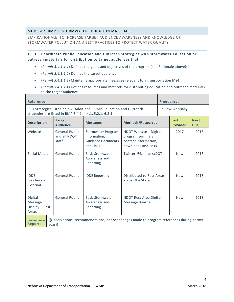## <span id="page-9-0"></span>MCM 1&2: BMP 1: STORMWATER EDUCATION MATERIALS

BMP RATIONALE: TO INCREASE TARGET AUDIENCE AWARENESS AND KNOWLEDGE OF STORMWATER POLLUTION AND BEST PRACTICES TO PROTECT WATER QUALITY.

## **1.1.1 Coordinate Public Education and Outreach strategies with stormwater education or outreach materials for distribution to target audiences that:**

- (*Permit 3.4.1.1.1*) Defines the goals and objectives of the program (see Rationale above);
- (*Permit 3.4.1.1.2*) Defines the target audience;
- (*Permit 3.4.1.1.3*) Maintains appropriate messages relevant to a transportation MS4;
- (*Permit 3.4.1.1.4*) Defines resources and methods for distributing education and outreach materials to the target audience.

| Reference:                                           |                                                          |                                                                                          |                                                                                            |  | <b>Frequency:</b>       |                           |
|------------------------------------------------------|----------------------------------------------------------|------------------------------------------------------------------------------------------|--------------------------------------------------------------------------------------------|--|-------------------------|---------------------------|
|                                                      | strategies are listed in BMP 3.4.1, 4.4.1, 5.2.1, 6.3.1) | PEO Strategies listed below (Additional Public Education and Outreach                    |                                                                                            |  | Review: Annually        |                           |
| <b>Description</b>                                   | <b>Target</b><br><b>Audience</b>                         | <b>Messages</b>                                                                          | <b>Methods/Resources</b>                                                                   |  | Last<br><b>Provided</b> | <b>Next</b><br><b>Due</b> |
| Website                                              | <b>General Public</b><br>and all NDOT<br>staff           | <b>Stormwater Program</b><br>Information,<br><b>Guidance Documents</b><br>and Links      | NDOT Website - Digital<br>program summary,<br>contact information,<br>downloads and links. |  | 2017                    | 2018                      |
| Social Media                                         | <b>General Public</b>                                    | <b>Basic Stormwater</b><br>Awareness and<br>Reporting                                    | Twitter @NebraskaDOT                                                                       |  | <b>New</b>              | 2018                      |
| <b>IDDE</b><br>Brochure -<br>External                | <b>General Public</b>                                    | <b>IDDE Reporting</b>                                                                    | Distributed to Rest Areas<br>across the State.                                             |  | <b>New</b>              | 2018                      |
| Digital<br><b>Message</b><br>Display - Rest<br>Areas | <b>General Public</b>                                    | <b>Basic Stormwater</b><br>Awareness and<br>Reporting                                    | <b>NDOT Rest Area Digital</b><br>Message Boards.                                           |  | <b>New</b>              | 2018                      |
| <b>Report:</b>                                       | year}}                                                   | {{Observations, recommendations, and/or changes made to program references during permit |                                                                                            |  |                         |                           |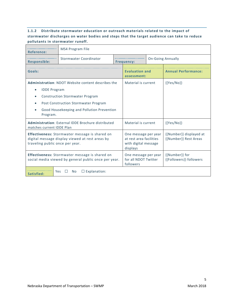# **1.1.2 Distribute stormwater education or outreach materials related to the impact of stormwater discharges on water bodies and steps that the target audience can take to reduce pollutants in stormwater runoff.**

| <b>Reference:</b>                                                                                                                                                                                                            | MS4 Program File       |  |                                                                                     |  |                                                  |  |  |
|------------------------------------------------------------------------------------------------------------------------------------------------------------------------------------------------------------------------------|------------------------|--|-------------------------------------------------------------------------------------|--|--------------------------------------------------|--|--|
| <b>Responsible:</b>                                                                                                                                                                                                          | Stormwater Coordinator |  | <b>Frequency:</b>                                                                   |  | <b>On-Going Annually</b>                         |  |  |
| Goals:                                                                                                                                                                                                                       |                        |  | <b>Evaluation and</b><br>assessment:                                                |  | <b>Annual Performance:</b>                       |  |  |
| <b>Administration: NDOT Website content describes the</b><br><b>IDDE</b> Program<br><b>Construction Stormwater Program</b><br>Post Construction Stormwater Program<br>Good Housekeeping and Pollution Prevention<br>Program. |                        |  | Material is current                                                                 |  | ${Yes/No}$                                       |  |  |
| <b>Administration: External IDDE Brochure distributed</b><br>matches current IDDE Plan                                                                                                                                       |                        |  | Material is current                                                                 |  | $\{ \{ Yes/No \} \}$                             |  |  |
| <b>Effectiveness:</b> Stormwater message is shared on<br>digital message display viewed at rest areas by<br>traveling public once per year.                                                                                  |                        |  | One message per year<br>at rest area facilities<br>with digital message<br>displays |  | {{Number}} displayed at<br>{{Number}} Rest Areas |  |  |
| <b>Effectiveness:</b> Stormwater message is shared on<br>social media viewed by general public once per year.                                                                                                                |                        |  | One message per year<br>for all NDOT Twitter<br>followers                           |  | {{Number}} for<br>{{Followers}} followers        |  |  |
| $\Box$ Explanation:<br><b>Yes</b><br>N <sub>0</sub><br>Satisfied:                                                                                                                                                            |                        |  |                                                                                     |  |                                                  |  |  |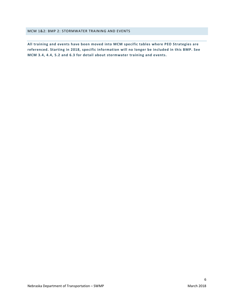#### <span id="page-11-0"></span>MCM 1&2: BMP 2: STORMWATER TRAINING AND EVENTS

**All training and events have been moved into MCM specific tables where PEO Strategies are referenced. Starting in 2018, specific information will no longer be included in this BMP. See MCM 3.4, 4.4, 5.2 and 6.3 for detail about stormwater training and events.**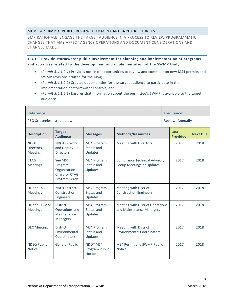## <span id="page-12-0"></span>MCM 1&2: BMP 3: PUBLIC REVIEW, COMMENT AND INPUT RESOURCES

BMP RATIONALE: ENGAGE THE TARGET AUDIENCE IN A PROCESS TO REVIEW PROGRAMMATIC CHANGES THAT MAY AFFECT AGENCY OPERATIONS AND DOCUMENT CONSIDERATIONS AND CHANGES MADE.

**1.3.1 Provide stormwater public involvement for planning and implementation of programs and activities related to the development and implementation of the SWMP that;**

- (*Permit 3.4.1.2.1*) Provides notice of opportunities to review and comment on new MS4 permits and SWMP revisions drafted for the MS4;
- (*Permit 3.4.1.2.2*) Creates opportunities for the target audience to participate in the implementation of stormwater controls; and
- (*Permit 3.4.1.2.3*) Ensures that information about the permittee's SWMP is available to the target audience.

| <b>Reference:</b>                                 |                                                                        |                                                    |                                                                          | <b>Frequency:</b>       |                 |
|---------------------------------------------------|------------------------------------------------------------------------|----------------------------------------------------|--------------------------------------------------------------------------|-------------------------|-----------------|
|                                                   | PEO Strategies listed below                                            |                                                    |                                                                          | Review: Annually        |                 |
| <b>Description</b>                                | <b>Target</b><br><b>Audience</b>                                       | <b>Messages</b>                                    | <b>Methods/Resources</b>                                                 | Last<br><b>Provided</b> | <b>Next Due</b> |
| <b>NDOT</b><br><b>Directors</b><br><b>Meeting</b> | <b>NDOT Director</b><br>and Deputy<br>Directors,                       | MS4 Program<br>Status and<br>Updates               | Meeting with Directors                                                   | 2017                    | 2018            |
| <b>CTAG</b><br><b>Meetings</b>                    | See MS4<br>Program<br>Organization<br>Chart for CTAG<br>Program Leads. | MS4 Program<br>Status and<br>Updates               | <b>Compliance Technical Advisory</b><br><b>Group Meetings or Updates</b> | 2017                    | 2018            |
| DE and DCE<br><b>Meetings</b>                     | <b>NDOT District</b><br>Construction<br><b>Engineers</b>               | MS4 Program<br>Status and<br>Updates               | Meeting with District<br><b>Construction Engineers</b>                   | 2017                    | 2018            |
| DE and DOMM<br><b>Meetings</b>                    | <b>District</b><br>Operations and<br>Maintenance<br><b>Managers</b>    | <b>MS4 Program</b><br>Status and<br>Updates        | Meeting with District Operations<br>and Maintenance Managers             | 2017                    | 2018            |
| <b>DEC Meeting</b>                                | <b>District</b><br>Environmental<br>Coordinators                       | MS4 Program<br>Status and<br>Updates               | <b>Meeting with District</b><br><b>Environmental Coordinators</b>        | 2017                    | 2018            |
| <b>NDEQ Public</b><br><b>Notice</b>               | <b>General Public</b>                                                  | <b>NDOT MS4</b><br>Program Public<br><b>Notice</b> | <b>MS4 Permit and SWMP Public</b><br><b>Notice</b>                       | 2017                    | 2018            |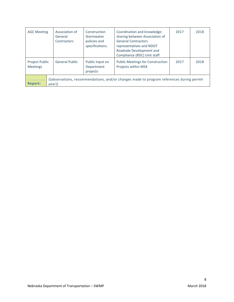| <b>AGC Meeting</b>                                                                                                       | Association of<br>General<br>Contractors | Construction<br>Stormwater<br>policies and<br>specifications. | Coordination and knowledge-<br>sharing between Association of<br><b>General Contractors</b><br>representatives and NDOT<br>Roadside Development and<br>Compliance (RDC) Unit staff | 2017 | 2018 |  |
|--------------------------------------------------------------------------------------------------------------------------|------------------------------------------|---------------------------------------------------------------|------------------------------------------------------------------------------------------------------------------------------------------------------------------------------------|------|------|--|
| Project Public<br><b>Meetings</b>                                                                                        | <b>General Public</b>                    | Public Input on<br>Department<br>projects                     | <b>Public Meetings for Construction</b><br>Projects within MS4                                                                                                                     | 2017 | 2018 |  |
| {{observations, recommendations, and/or changes made to program references during permit<br><b>Report:</b><br>$\{year\}$ |                                          |                                                               |                                                                                                                                                                                    |      |      |  |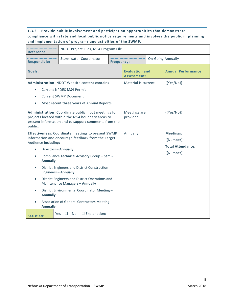# **1.3.2 Provide public involvement and participation opportunities that demonstrate compliance with state and local public notice requirements and involves the public in planning and implementation of programs and activities of the SWMP.**

| <b>Reference:</b>                                                                                                                      |                                                                                                                                                                      | NDOT Project Files, MS4 Program File |                                      |                                 |                            |  |  |
|----------------------------------------------------------------------------------------------------------------------------------------|----------------------------------------------------------------------------------------------------------------------------------------------------------------------|--------------------------------------|--------------------------------------|---------------------------------|----------------------------|--|--|
| <b>Responsible:</b>                                                                                                                    | Stormwater Coordinator                                                                                                                                               | <b>Frequency:</b>                    |                                      |                                 | <b>On-Going Annually</b>   |  |  |
| Goals:                                                                                                                                 |                                                                                                                                                                      |                                      | <b>Evaluation and</b><br>Assessment: |                                 | <b>Annual Performance:</b> |  |  |
| $\bullet$                                                                                                                              | <b>Administration: NDOT Website content contains</b><br><b>Current NPDES MS4 Permit</b><br><b>Current SWMP Document</b><br>Most recent three years of Annual Reports |                                      | Material is current                  |                                 | ${Yes/No}$                 |  |  |
| public.                                                                                                                                | Administration: Coordinate public input meetings for<br>projects located within the MS4 boundary areas to<br>present information and to support comments from the    |                                      | Meetings are<br>provided             |                                 | ${Yes/No}$                 |  |  |
| <b>Effectiveness: Coordinate meetings to present SWMP</b><br>information and encourage feedback from the Target<br>Audience including: |                                                                                                                                                                      | Annually                             |                                      | <b>Meetings:</b><br>${Number}}$ |                            |  |  |
| $\bullet$                                                                                                                              | Directors - Annually                                                                                                                                                 |                                      |                                      |                                 | <b>Total Attendance:</b>   |  |  |
| <b>Annually</b>                                                                                                                        | Compliance Technical Advisory Group - Semi-                                                                                                                          |                                      |                                      |                                 | {{Number}}                 |  |  |
| $\bullet$                                                                                                                              | <b>District Engineers and District Construction</b><br>Engineers - Annually                                                                                          |                                      |                                      |                                 |                            |  |  |
| District Engineers and District Operations and<br>Maintenance Managers - Annually                                                      |                                                                                                                                                                      |                                      |                                      |                                 |                            |  |  |
| District Environmental Coordinator Meeting -<br><b>Annually</b>                                                                        |                                                                                                                                                                      |                                      |                                      |                                 |                            |  |  |
| Association of General Contractors Meeting -<br><b>Annually</b>                                                                        |                                                                                                                                                                      |                                      |                                      |                                 |                            |  |  |
| Satisfied:                                                                                                                             | Yes $\Box$<br>$\Box$ Explanation:<br>No                                                                                                                              |                                      |                                      |                                 |                            |  |  |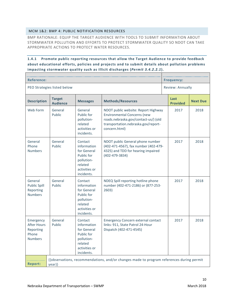## <span id="page-15-0"></span>MCM 1&2: BMP 4: PUBLIC NOTIFICATION RESOURCES

BMP RATIONALE: EQUIP THE TARGET AUDIENCE WITH TOOLS TO SUBMIT INFORMATION ABOUT STORMWATER POLLUTION AND EFFORTS TO PROTECT STORMWATER QUALITY SO NDOT CAN TAKE APPROPRIATE ACTIONS TO PROTECT WATER RESOURCES.

## **1.4.1 Promote public reporting resources that allow the Target Audience to provide feedback about educational efforts, policies and projects and to submit details about pollution problems impacting stormwater quality such as illicit discharges (***Permit 3.4.2.2.1***).**

| <b>Reference:</b>                                                       | <b>Frequency:</b>                |                                                                                                             |                                                                                                                                                                           |                         |                  |  |
|-------------------------------------------------------------------------|----------------------------------|-------------------------------------------------------------------------------------------------------------|---------------------------------------------------------------------------------------------------------------------------------------------------------------------------|-------------------------|------------------|--|
|                                                                         | PEO Strategies listed below      |                                                                                                             |                                                                                                                                                                           |                         | Review: Annually |  |
| <b>Description</b>                                                      | <b>Target</b><br><b>Audience</b> | <b>Messages</b>                                                                                             | <b>Methods/Resources</b>                                                                                                                                                  | Last<br><b>Provided</b> | <b>Next Due</b>  |  |
| Web Form                                                                | General<br>Public                | General<br>Public for<br>pollution-<br>related<br>activities or<br>incidents.                               | NDOT public website: Report Highway<br><b>Environmental Concerns (new</b><br>roads.nebraska.gov/contact-us/) (old<br>transportation.nebraska.gov/report-<br>concern.html) | 2017                    | 2018             |  |
| General<br>Phone<br><b>Numbers</b>                                      | General<br>Public                | Contact<br>information<br>for General<br>Public for<br>pollution-<br>related<br>activities or<br>incidents. | NDOT public General phone number<br>(402-471-4567), fax number (402-479-<br>4325) and TDD for hearing impaired<br>$(402 - 479 - 3834)$                                    | 2017                    | 2018             |  |
| General<br><b>Public Spill</b><br>Reporting<br><b>Numbers</b>           | General<br>Public                | Contact<br>information<br>for General<br>Public for<br>pollution-<br>related<br>activities or<br>incidents. | NDEQ Spill reporting hotline phone<br>number (402-471-2186) or (877-253-<br>2603)                                                                                         | 2017                    | 2018             |  |
| Emergency<br><b>After Hours</b><br>Reporting<br>Phone<br><b>Numbers</b> | General<br>Public                | Contact<br>information<br>for General<br>Public for<br>pollution-<br>related<br>activities or<br>incidents. | <b>Emergency Concern external contact</b><br>links: 911, State Patrol 24-Hour<br>Dispatch (402-471-4545)                                                                  | 2017                    | 2018             |  |
| <b>Report:</b>                                                          | year}}                           |                                                                                                             | {{observations, recommendations, and/or changes made to program references during permit                                                                                  |                         |                  |  |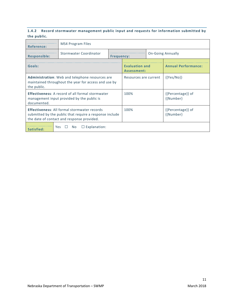## **1.4.2 Record stormwater management public input and requests for information submitted by the public.**

| <b>Reference:</b>                                                                                                                                            | <b>MS4 Program Files</b>                     |                   |                                      |  |                                |  |
|--------------------------------------------------------------------------------------------------------------------------------------------------------------|----------------------------------------------|-------------------|--------------------------------------|--|--------------------------------|--|
| <b>Responsible:</b>                                                                                                                                          | Stormwater Coordinator                       | <b>Frequency:</b> |                                      |  | <b>On-Going Annually</b>       |  |
| Goals:                                                                                                                                                       |                                              |                   | <b>Evaluation and</b><br>Assessment: |  | <b>Annual Performance:</b>     |  |
| Administration: Web and telephone resources are<br>maintained throughout the year for access and use by<br>the public.                                       |                                              |                   | Resources are current                |  | $\{Yes/No\}\}$                 |  |
| <b>Effectiveness:</b> A record of all formal stormwater<br>management input provided by the public is<br>documented.                                         |                                              |                   | 100%                                 |  | {{Percentage}} of<br>{{Number} |  |
| <b>Effectiveness: All formal stormwater records</b><br>submitted by the public that require a response include<br>the date of contact and response provided. |                                              |                   | 100%                                 |  | {{Percentage}} of<br>{{Number} |  |
| Satisfied:                                                                                                                                                   | $\Box$ Explanation:<br>Yes<br>No.<br>$\perp$ |                   |                                      |  |                                |  |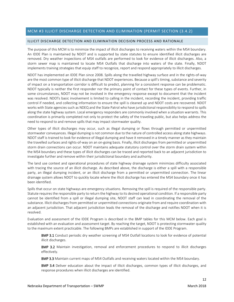## <span id="page-17-0"></span>MCM #3 ILLICIT DISCHARGE DETECTION AND ELIMINATION (PERMIT SECTION (3.4.2)

#### <span id="page-17-1"></span>ILLICIT DISCHARGE DETECTION AND ELIMINATION DECISION PROCESS AND RATIONALE

The purpose of this MCM is to minimize the impact of illicit discharges to receiving waters within the MS4 boundary. An IDDE Plan is maintained by NDOT and is supported by state statutes to ensure identified illicit discharges are removed. Dry weather inspections of MS4 outfalls are performed to look for evidence of illicit discharges. Also, a storm sewer map is maintained to locate MS4 Outfalls that discharge into waters of the state. Finally, NDOT implements training strategies that equip staff to recognize, report and respond appropriately to illicit discharges.

NDOT has implemented an IDDE Plan since 2008. Spills along the travelled highway surface and in the rights-of-way are the most common type of illicit discharge that NDOT experiences. Because a spill's timing, substance and severity of impact on a transportation corridor is difficult to predict, planning for a consistent response can be problematic. NDOT typically is neither the first responder nor the primary point of contact for these types of events. Further, in some circumstances, NDOT may not be involved in the emergency response except to document that the incident was resolved. NDOTs basic involvement is limited to calling in the incident, recording the incident, providing traffic control if needed, and collecting information to ensure the spill is cleaned up and NDOT costs are recovered. NDOT works with State agencies such as NDEQ and the State Patrol who have jurisdictional responsibility to respond to spills along the state highway system. Local emergency responders are commonly involved when a situation warrants. This coordination is primarily completed not only to protect the safety of the traveling public, but also helps address the need to respond to and remove spills that may impact stormwater quality.

Other types of illicit discharges may occur, such as illegal dumping or flows through permitted or unpermitted stormwater conveyances. Illegal dumping is not common due to the nature of controlled access along state highways. NDOT staff is trained to look for evidence of illegal dumping and have it removed in a timely manner as they maintain the travelled surfaces and rights-of-way on an on-going basis. Finally, illicit discharges from permitted or unpermitted storm drain connections can occur. NDOT maintains adequate statutory control over the storm drain system within the MS4 boundary and these types of illicit discharges can be traced and reported back to an adjacent jurisdiction to investigate further and remove within their jurisdictional boundary and authority.

The land use context and operational procedures of state highway drainage system minimizes difficulty associated with tracing the source of an illicit discharge. As described above, the discharge is either a spill with a responsible party, an illegal dumping incident, or an illicit discharge from a permitted or unpermitted connection. The linear drainage system allows NDOT to quickly locate where the illicit discharge has entered the MS4 boundary once it has been identified.

Spills that occur on state highways are emergency situations. Removing the spill is required of the responsible party. Statute requires the responsible party to return the highway to its desired operational condition. If a responsible party cannot be identified from a spill or illegal dumping site, NDOT staff can lead in coordinating the removal of the substance. Illicit discharges from permitted or unpermitted connections originate from and require coordination with an adjacent jurisdiction. That adjacent jurisdiction leads the removal of the discharge and notifies NDOT when it is resolved.

Evaluation and assessment of the IDDE Program is described in the BMP tables for this MCM below. Each goal is established with an evaluation and assessment target. By reaching the target, NDOT is protecting stormwater quality to the maximum extent practicable. The following BMPs are established in support of the IDDE Program.

**BMP 3.1** Conduct periodic dry weather screening of MS4 Outfall locations to look for evidence of potential illicit discharges.

BMP 3.2 Maintain investigation, removal and enforcement procedures to respond to illicit discharges effectively.

BMP 3.3 Maintain current maps of MS4 Outfalls and receiving waters located within the MS4 boundary.

**BMP 3.4** Deliver education about the impact of illicit discharges, common types of illicit discharges, and response procedures when illicit discharges are identified.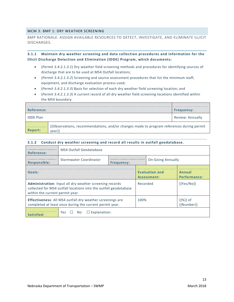#### <span id="page-18-0"></span>MCM 3: BMP 1: DRY WEATHER SCREENING

BMP RATIONALE: ASSIGN AVAILABLE RESOURCES TO DETECT, INVESTIGATE, AND ELIMINATE ILLICIT DISCHARGES.

**3.1.1 Maintain dry weather screening and data collection procedures and information for the Illicit Discharge Detection and Elimination (IDDE) Program, which documents:**

- (*Permit 3.4.2.1.3.1*) Dry weather field screening methods and procedures for identifying sources of discharge that are to be used at MS4 Outfall locations;
- (*Permit 3.4.2.1.3.2*) Screening and source assessment procedures that list the minimum staff, equipment, and discharge evaluation process used;
- (*Permit 3.4.2.1.3.3*) Basis for selection of each dry weather field screening location; and
- (*Permit 3.4.2.1.3.3*) A current record of all dry weather field screening locations identified within the MS4 boundary.

| Reference:       |                                                                                                    | <b>Frequency:</b>       |
|------------------|----------------------------------------------------------------------------------------------------|-------------------------|
| <b>IDDE Plan</b> |                                                                                                    | <b>Review: Annually</b> |
| Report:          | {{Observations, recommendations, and/or changes made to program references during permit<br>vear}} |                         |

## **3.1.2 Conduct dry weather screening and record all results in outfall geodatabase.**

| Reference:                                                                                                                                                     | MS4 Outfall Geodatabase                                                 |  |                                      |  |                                    |
|----------------------------------------------------------------------------------------------------------------------------------------------------------------|-------------------------------------------------------------------------|--|--------------------------------------|--|------------------------------------|
| <b>Responsible:</b>                                                                                                                                            | Stormwater Coordinator<br><b>On-Going Annually</b><br><b>Frequency:</b> |  |                                      |  |                                    |
| Goals:                                                                                                                                                         |                                                                         |  | <b>Evaluation and</b><br>Assessment: |  | Annual<br>Performance:             |
| Administration: Input all dry weather screening records<br>collected for MS4 outfall locations into the outfall geodatabase<br>within the current permit year. |                                                                         |  | Recorded                             |  | $\{ \{ \text{Yes}/\text{No} \} \}$ |
| <b>Effectiveness:</b> All MS4 outfall dry weather screenings are<br>completed at least once during the current permit year.                                    |                                                                         |  | 100%                                 |  | $\{\{\% \}\}\$ of<br>{{Number}}    |
|                                                                                                                                                                | $\Box$ Explanation:<br>Yes $\Box$<br>No.                                |  |                                      |  |                                    |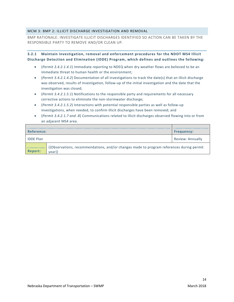## <span id="page-19-0"></span>MCM 3: BMP 2: ILLICIT DISCHARGE INVESTIGATION AND REMOVAL

BMP RATIONALE: INVESTIGATE ILLICIT DISCHARGES IDENTIFIED SO ACTION CAN BE TAKEN BY THE RESPONSIBLE PARTY TO REMOVE AND/OR CLEAN UP.

**3.2.1 Maintain investigation, removal and enforcement procedures for the NDOT MS4 Illicit Discharge Detection and Elimination (IDDE) Program, which defines and outlines the following:**

- (*Permit 3.4.2.1.4.1*) Immediate reporting to NDEQ when dry weather flows are believed to be an immediate threat to human health or the environment;
- (*Permit 3.4.2.1.4.2*) Documentation of all investigations to track the date(s) that an illicit discharge was observed, results of investigation, follow-up of the initial investigation and the date that the investigation was closed;
- (*Permit 3.4.2.1.5.1*) Notifications to the responsible party and requirements for all necessary corrective actions to eliminate the non-stormwater discharge;
- (*Permit 3.4.2.1.5.2*) Interactions with potential responsible parties as well as follow-up investigations, when needed, to confirm illicit discharges have been removed; and
- (*Permit 3.4.2.1.7 and .8*) Communications related to illicit discharges observed flowing into or from an adjacent MS4 area.

| Reference:       |                                                                                                    | <b>Frequency:</b> |
|------------------|----------------------------------------------------------------------------------------------------|-------------------|
| <b>IDDE Plan</b> |                                                                                                    | Review: Annually  |
| <b>Report:</b>   | {{Observations, recommendations, and/or changes made to program references during permit<br>vear}} |                   |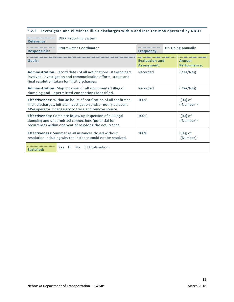# **3.2.2 Investigate and eliminate illicit discharges within and into the MS4 operated by NDOT.**

| <b>Reference:</b>                                                                                                                                                                                    | <b>DIRK Reporting System</b> |                                               |                                 |                        |  |
|------------------------------------------------------------------------------------------------------------------------------------------------------------------------------------------------------|------------------------------|-----------------------------------------------|---------------------------------|------------------------|--|
| <b>Responsible:</b>                                                                                                                                                                                  | Stormwater Coordinator       | <b>On-Going Annually</b><br><b>Frequency:</b> |                                 |                        |  |
| Goals:                                                                                                                                                                                               |                              | <b>Evaluation and</b><br>Assessment:          |                                 | Annual<br>Performance: |  |
| Administration: Record dates of all notifications, stakeholders<br>involved, investigation and communication efforts, status and<br>final resolution taken for illicit discharges.                   | Recorded                     |                                               | $\{ \{Yes/No\} \}$              |                        |  |
| Administration: Map location of all documented illegal<br>dumping and unpermitted connections identified.                                                                                            | Recorded                     |                                               | ${Yes/No}$                      |                        |  |
| <b>Effectiveness:</b> Within 48 hours of notification of all confirmed<br>illicit discharges, initiate investigation and/or notify adjacent<br>MS4 operator if necessary to trace and remove source. | 100%                         |                                               | $\{\{\% \}\}\$ of<br>${Number}$ |                        |  |
| Effectiveness: Complete follow up inspection of all illegal<br>dumping and unpermitted connections (potential for<br>recurrence) within one year of resolving the occurrence.                        | 100%                         |                                               | $\{\{\% \}\}\$ of<br>{{Number}} |                        |  |
| <b>Effectiveness:</b> Summarize all instances closed without<br>resolution including why the instance could not be resolved.                                                                         | 100%                         |                                               | $\{\{\% \}\}\$ of<br>{{Number}} |                        |  |
| $\Box$ Explanation:<br>Yes<br><b>No</b><br>Satisfied:                                                                                                                                                |                              |                                               |                                 |                        |  |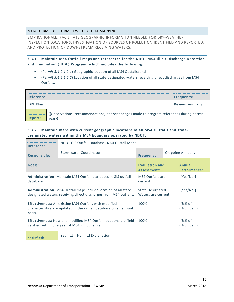## <span id="page-21-0"></span>MCM 3: BMP 3: STORM SEWER SYSTEM MAPPING

BMP RATIONALE: FACILITATE GEOGRAPHIC INFORMATION NEEDED FOR DRY-WEATHER INSPECTION LOCATIONS, INVESTIGATION OF SOURCES OF POLLUTION IDENTIFIED AND REPORTED, AND PROTECTION OF DOWNSTREAM RECEIVING WATERS.

**3.3.1 Maintain MS4 Outfall maps and references for the NDOT MS4 Illicit Discharge Detection and Elimination (IDDE) Program, which includes the following:**

- (*Permit 3.4.2.1.2.1*) Geographic location of all MS4 Outfalls; and
- (*Permit 3.4.2.1.2.2*) Location of all state designated waters receiving direct discharges from MS4 Outfalls.

| <b>Reference:</b> |                                                                                                    | <b>Frequency:</b> |
|-------------------|----------------------------------------------------------------------------------------------------|-------------------|
| <b>IDDF Plan</b>  |                                                                                                    | Review: Annually  |
| <b>Report:</b>    | {{Observations, recommendations, and/or changes made to program references during permit<br>year}} |                   |

## **3.3.2 Maintain maps with current geographic locations of all MS4 Outfalls and statedesignated waters within the MS4 boundary operated by NDOT.**

| <b>Reference:</b>                                                                                                                           | NDOT GIS Outfall Database, MS4 Outfall Maps   |                                               |                                 |  |  |
|---------------------------------------------------------------------------------------------------------------------------------------------|-----------------------------------------------|-----------------------------------------------|---------------------------------|--|--|
| <b>Responsible:</b>                                                                                                                         | Stormwater Coordinator                        | <b>On-going Annually</b><br><b>Frequency:</b> |                                 |  |  |
| Goals:                                                                                                                                      | Evaluation and<br>Assessment:                 |                                               | Annual<br><b>Performance:</b>   |  |  |
| <b>Administration:</b> Maintain MS4 Outfall attributes in GIS outfall<br>database.                                                          | MS4 Outfalls are<br>current                   |                                               | $\{ \{Yes/No\} \}$              |  |  |
| Administration: MS4 Outfall maps include location of all state-<br>designated waters receiving direct discharges from MS4 outfalls.         | <b>State Designated</b><br>Waters are current |                                               | $\{ \{Yes/No\} \}$              |  |  |
| <b>Effectiveness:</b> All existing MS4 Outfalls with modified<br>characteristics are updated in the outfall database on an annual<br>basis. | 100%                                          |                                               | $\{\{\% \}\}\$ of<br>{{Number}} |  |  |
| <b>Effectiveness:</b> New and modified MS4 Outfall locations are field<br>verified within one year of MS4 limit change.                     | 100%                                          |                                               | $\{\{\% \}\}\$ of<br>${Number}$ |  |  |
| Satisfied:                                                                                                                                  | $\Box$ Explanation:<br><b>Yes</b><br>No.      |                                               |                                 |  |  |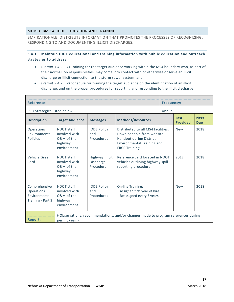## <span id="page-22-0"></span>MCM 3: BMP 4: IDDE EDUCATION AND TRAINING

BMP RATIONALE: DISTRIBUTE INFORMATION THAT PROMOTES THE PROCESSES OF RECOGNIZING, RESPONDING TO AND DOCUMENTING ILLICIT DISCHARGES.

## **3.4.1 Maintain IDDE educational and training information with public education and outreach strategies to address:**

- (*Permit 3.4.2.3.1*) Training for the target audience working within the MS4 boundary who, as part of their normal job responsibilities, may come into contact with or otherwise observe an illicit discharge or illicit connection to the storm sewer system; and
- (*Permit 3.4.2.3.2*) Schedule for training the target audience on the identification of an illicit discharge, and on the proper procedures for reporting and responding to the illicit discharge.

| <b>Reference:</b>                                                        |                                                                     |                                                  |                                                                                                                                                    | <b>Frequency:</b> |                         |                           |
|--------------------------------------------------------------------------|---------------------------------------------------------------------|--------------------------------------------------|----------------------------------------------------------------------------------------------------------------------------------------------------|-------------------|-------------------------|---------------------------|
| PEO Strategies listed below                                              |                                                                     |                                                  |                                                                                                                                                    | Annual            |                         |                           |
| <b>Description</b>                                                       | <b>Target Audience</b>                                              | <b>Messages</b>                                  | <b>Methods/Resources</b>                                                                                                                           |                   | Last<br><b>Provided</b> | <b>Next</b><br><b>Due</b> |
| Operations<br>Environmental<br><b>Policies</b>                           | NDOT staff<br>involved with<br>O&M of the<br>highway<br>environment | <b>IDDE Policy</b><br>and<br>Procedures          | Distributed to all MS4 facilities.<br>Downloadable from website.<br>Handout during District<br><b>Environmental Training and</b><br>FRCP Training. |                   | <b>New</b>              | 2018                      |
| Vehicle Green<br>Card                                                    | NDOT staff<br>involved with<br>O&M of the<br>highway<br>environment | <b>Highway Illicit</b><br>Discharge<br>Procedure | Reference card located in NDOT<br>vehicles outlining highway spill<br>reporting procedure.                                                         |                   | 2017                    | 2018                      |
| Comprehensive<br><b>Operations</b><br>Environmental<br>Training - Part 3 | NDOT staff<br>involved with<br>O&M of the<br>highway<br>environment | <b>IDDE Policy</b><br>and<br>Procedures          | <b>On-line Training:</b><br>Assigned first year of hire<br>Reassigned every 3 years                                                                |                   | <b>New</b>              | 2018                      |
| <b>Report:</b>                                                           | permit year}}                                                       |                                                  | {{Observations, recommendations, and/or changes made to program references during                                                                  |                   |                         |                           |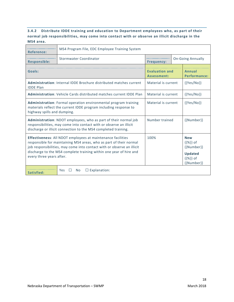# **3.4.2 Distribute IDDE training and education to Department employees who, as part of their normal job responsibilities, may come into contact with or observe an illicit discharge in the MS4 area.**

| <b>Reference:</b>                                                                                                                                                                                                                                                                                             | MS4 Program File, EDC Employee Training System                             |                                               |                                                                                                    |                               |  |  |
|---------------------------------------------------------------------------------------------------------------------------------------------------------------------------------------------------------------------------------------------------------------------------------------------------------------|----------------------------------------------------------------------------|-----------------------------------------------|----------------------------------------------------------------------------------------------------|-------------------------------|--|--|
| <b>Responsible:</b>                                                                                                                                                                                                                                                                                           | <b>Stormwater Coordinator</b>                                              | <b>On-Going Annually</b><br><b>Frequency:</b> |                                                                                                    |                               |  |  |
| Goals:                                                                                                                                                                                                                                                                                                        |                                                                            | <b>Evaluation and</b><br>Assessment:          |                                                                                                    | Annual<br><b>Performance:</b> |  |  |
| <b>IDDE Plan</b>                                                                                                                                                                                                                                                                                              | <b>Administration:</b> Internal IDDE Brochure distributed matches current  | Material is current                           |                                                                                                    | ${Yes/No}$                    |  |  |
|                                                                                                                                                                                                                                                                                                               | <b>Administration: Vehicle Cards distributed matches current IDDE Plan</b> | Material is current                           |                                                                                                    | ${Yes/No}$                    |  |  |
| Administration: Formal operation environmental program training<br>materials reflect the current IDDE program including response to<br>highway spills and dumping.                                                                                                                                            | Material is current                                                        |                                               | ${Yes/No}$                                                                                         |                               |  |  |
| <b>Administration:</b> NDOT employees, who as part of their normal job<br>responsibilities, may come into contact with or observe an illicit<br>discharge or illicit connection to the MS4 completed training.                                                                                                | Number trained                                                             |                                               | {{Number}}                                                                                         |                               |  |  |
| Effectiveness: All NDOT employees at maintenance facilities<br>responsible for maintaining MS4 areas, who as part of their normal<br>job responsibilities, may come into contact with or observe an illicit<br>discharge to the MS4 complete training within one year of hire and<br>every three years after. | 100%                                                                       |                                               | <b>New</b><br>$\{\{\% \}\}\$ of<br>${Number}$<br><b>Updated</b><br>$\{\{\% \}\}\$ of<br>{{Number}} |                               |  |  |
| $\Box$ Explanation:<br>Yes<br>No.<br>Satisfied:                                                                                                                                                                                                                                                               |                                                                            |                                               |                                                                                                    |                               |  |  |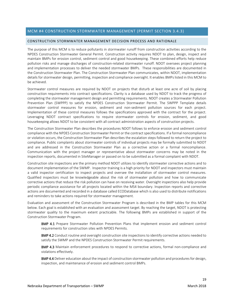## <span id="page-24-0"></span>MCM #4 CONSTRUCTION STORMWATER MANAGEMENT (PERMIT SECTION 3.4.3)

#### <span id="page-24-1"></span>CONSTRUCTION STORMWATER MANAGEMENT DECISION PROCESS AND RATIONALE

The purpose of this MCM is to reduce pollutants in stormwater runoff from construction activities according to the NPDES Construction Stormwater General Permit. Construction activity requires NDOT to plan, design, inspect and maintain BMPs for erosion control, sediment control and good housekeeping. These combined efforts help reduce pollution risks and manage discharges of construction-related stormwater runoff. NDOT oversees project planning and implementation processes to deliver the needed stormwater BMPs. These responsibilities are documented in the Construction Stormwater Plan. The Construction Stormwater Plan communicates, within NDOT, implementation details for stormwater design, permitting, inspection and compliance oversight. It enables BMPs listed in this MCM to be achieved.

Stormwater control measures are required by NDOT on projects that disturb at least one acre of soil by placing construction requirements into contract specifications. Clarity is a database used by NDOT to track the progress of completing the stormwater management design and permitting requirements. NDOT creates a Stormwater Pollution Prevention Plan (SWPPP) to satisfy the NPDES Construction Stormwater Permit. The SWPPP Template details stormwater control measures for erosion, sediment and non-sediment pollution sources for each project. Implementation of these control measures follows the specifications approved with the contract for the project. Leveraging NDOT contract specifications to require stormwater controls for erosion, sediment, and good housekeeping allows NDOT to be consistent with all contract administration aspects of construction projects.

The Construction Stormwater Plan describes the procedures NDOT follows to enforce erosion and sediment control compliance with the NPDES Construction Stormwater Permit or the contract specifications. If a formal noncompliance or violation occurs, the Construction Stormwater Plan describes the escalation steps followed to return the project to compliance. Public complaints about stormwater controls of individual projects may be formally submitted to NDOT and are addressed in the Construction Stormwater Plan as a corrective action or a formal noncompliance. Communication with the project manager or representative about stormwater concerns may be noted in the inspection reports, documented in SiteManager or passed on to be submitted as a formal complaint with NDOT.

Construction site inspections are the primary method NDOT utilizes to identify stormwater corrective actions and to document implementation of the SWMP. Inspector training is a high priority for NDOT and inspectors must maintain a valid inspector certification to inspect projects and oversee the installation of stormwater control measures. Qualified inspectors must be knowledgeable about the risk of stormwater pollution and how to communicate corrective actions that reduce the risk pollution can have on receiving water. Oversight inspections also help provide periodic compliance assistance for all projects located within the MS4 boundary. Inspection reports and corrective actions are documented and recorded in a database called ECODatabase which is also used to distribute notifications and reminders to take actions required for stormwater management.

Evaluation and assessment of the Construction Stormwater Program is described in the BMP tables for this MCM below. Each goal is established with an evaluation and assessment target. By reaching the target, NDOT is protecting stormwater quality to the maximum extent practicable. The following BMPs are established in support of the Construction Stormwater Program.

**BMP 4.1** Prepare Stormwater Pollution Prevention Plans that implement erosion and sediment control requirements for construction sites with NPDES Permits.

**BMP 4.2** Conduct routine and oversight construction site inspections to identify corrective actions needed to satisfy the SWMP and the NPDES Construction Stormwater Permit requirements.

BMP 4.3 Maintain enforcement procedures to respond to corrective actions, formal non-compliance and violations effectively.

**BMP 4.4** Deliver education about the impact of construction stormwater pollution and procedures for design, inspection, and maintenance of erosion and sediment control BMPs.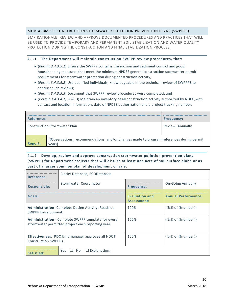## <span id="page-25-0"></span>MCM 4: BMP 1: CONSTRUCTION STORMWATER POLLUTION PREVENTION PLANS (SWPPPS)

BMP RATIONALE: REVIEW AND APPROVE DOCUMENTED PROCEDURES AND PRACTICES THAT WILL BE USED TO PROVIDE TEMPORARY AND PERMANENT SOIL STABILIZATION AND WATER QUALITY PROTECTION DURING THE CONSTRUCTION AND FINAL STABILIZATION PROCESS.

#### **4.1.1 The Department will maintain construction SWPPP review procedures, that:**

- (*Permit 3.4.3.5.1*) Ensure the SWPPP contains the erosion and sediment control and good housekeeping measures that meet the minimum NPDES general construction stormwater permit requirements for stormwater protection during construction activity;
- (*Permit 3.4.3.5.2*) Use qualified individuals, knowledgeable in the technical review of SWPPPS to conduct such reviews;
- (*Permit 3.4.3.5.3*) Document that SWPPP review procedures were completed; and
- (*Permit 3.4.3.4.1, .2 & .3*) Maintain an inventory of all construction activity authorized by NDEQ with contact and location information, date of NPDES authorization and a project tracking number.

| Reference:                          |                                                                                                    | <b>Frequency:</b> |  |
|-------------------------------------|----------------------------------------------------------------------------------------------------|-------------------|--|
| <b>Construction Stormwater Plan</b> |                                                                                                    | Review: Annually  |  |
| <b>Report:</b>                      | {{Observations, recommendations, and/or changes made to program references during permit<br>year}} |                   |  |

## **4.1.2 Develop, review and approve construction stormwater pollution prevention plans (SWPPP) for Department projects that will disturb at least one acre of soil surface alone or as part of a larger common plan of development or sale.**

| <b>Reference:</b>           | Clarity Database, ECODatabase                                                                          |                                      |                                            |  |  |
|-----------------------------|--------------------------------------------------------------------------------------------------------|--------------------------------------|--------------------------------------------|--|--|
| <b>Responsible:</b>         | Stormwater Coordinator                                                                                 | <b>Frequency:</b>                    | <b>On-Going Annually</b>                   |  |  |
| Goals:                      |                                                                                                        | <b>Evaluation and</b><br>Assessment: | <b>Annual Performance:</b>                 |  |  |
| SWPPP Development.          | <b>Administration:</b> Complete Design Activity: Roadside                                              | 100%                                 | $\{\{\% \}\}\$ of $\{\{\text{number}\}\}\$ |  |  |
|                             | Administration: Complete SWPPP template for every<br>stormwater permitted project each reporting year. | 100%                                 | $\{\{\% \}\}\$ of $\{\{\text{number}\}\}\$ |  |  |
| <b>Construction SWPPPs.</b> | <b>Effectiveness:</b> RDC Unit manager approves all NDOT                                               | 100%                                 | $\{\{\% \}\}\$ of $\{\{\text{number}\}\}\$ |  |  |
| Satisfied:                  | $\Box$ Explanation:<br>Yes<br>$\Box$ No                                                                |                                      |                                            |  |  |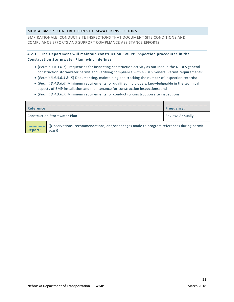## <span id="page-26-0"></span>MCM 4: BMP 2: CONSTRUCTION STORMWATER INSPECTIONS

BMP RATIONALE: CONDUCT SITE INSPECTIONS THAT DOCUMENT SITE CONDITIONS AND COMPLIANCE EFFORTS AND SUPPORT COMPLIANCE ASSISTANCE EFFORTS.

## **4.2.1 The Department will maintain construction SWPPP inspection procedures in the Construction Stormwater Plan, which defines:**

- (*Permit 3.4.3.6.1*) Frequencies for inspecting construction activity as outlined in the NPDES general construction stormwater permit and verifying compliance with NPDES General Permit requirements;
- (*Permit 3.4.3.6.4 & .5*) Documenting, maintaining and tracking the number of inspection records;
- (*Permit 3.4.3.6.6*) Minimum requirements for qualified individuals, knowledgeable in the technical aspects of BMP installation and maintenance for construction inspections; and
- (*Permit 3.4.3.6.7*) Minimum requirements for conducting construction site inspections.

| Reference:                                       |                                                                                                    | <b>Frequency:</b> |
|--------------------------------------------------|----------------------------------------------------------------------------------------------------|-------------------|
| Review: Annually<br>Construction Stormwater Plan |                                                                                                    |                   |
| Report:                                          | {{Observations, recommendations, and/or changes made to program references during permit<br>vear}} |                   |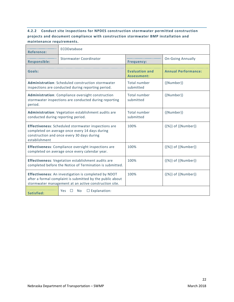# **4.2.2 Conduct site inspections for NPDES construction stormwater permitted construction projects and document compliance with construction stormwater BMP installation and maintenance requirements.**

| <b>Reference:</b>                                                                                            | ECODatabase                                                                                                                                                                |                                      |                            |  |  |
|--------------------------------------------------------------------------------------------------------------|----------------------------------------------------------------------------------------------------------------------------------------------------------------------------|--------------------------------------|----------------------------|--|--|
| <b>Responsible:</b>                                                                                          | <b>Stormwater Coordinator</b>                                                                                                                                              | <b>Frequency:</b>                    | <b>On-Going Annually</b>   |  |  |
| Goals:                                                                                                       |                                                                                                                                                                            | <b>Evaluation and</b><br>Assessment: | <b>Annual Performance:</b> |  |  |
|                                                                                                              | <b>Administration:</b> Scheduled construction stormwater<br>inspections are conducted during reporting period.                                                             | Total number<br>submitted            | {{Number}}                 |  |  |
| period.                                                                                                      | Administration: Compliance oversight construction<br>stormwater inspections are conducted during reporting                                                                 | Total number<br>submitted            | {{Number}}                 |  |  |
| conducted during reporting period.                                                                           | Administration: Vegetation establishment audits are                                                                                                                        | Total number<br>submitted            | {{Number}}                 |  |  |
| establishment                                                                                                | Effectiveness: Scheduled stormwater inspections are<br>completed on average once every 14 days during<br>construction and once every 30 days during                        | 100%                                 | {{%}} of {{Number}}        |  |  |
| <b>Effectiveness:</b> Compliance oversight inspections are<br>completed on average once every calendar year. |                                                                                                                                                                            | 100%                                 | {{%}} of {{Number}}        |  |  |
|                                                                                                              | <b>Effectiveness:</b> Vegetation establishment audits are<br>completed before the Notice of Termination is submitted.                                                      | 100%                                 | {{%}} of {{Number}}        |  |  |
|                                                                                                              | Effectiveness: An investigation is completed by NDOT<br>after a formal complaint is submitted by the public about<br>stormwater management at an active construction site. | 100%                                 | {{%}} of {{Number}}        |  |  |
| $\Box$ Explanation:<br>No<br>Yes.<br>Satisfied:                                                              |                                                                                                                                                                            |                                      |                            |  |  |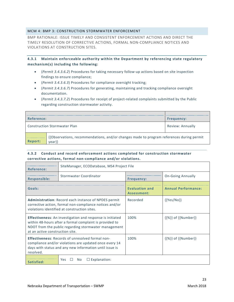## <span id="page-28-0"></span>MCM 4: BMP 3: CONSTRUCTION STORMWATER ENFORCEMENT

BMP RATIONALE: ISSUE TIMELY AND CONSISTENT ENFORCEMENT ACTIONS AND DIRECT THE TIMELY RESOLUTION OF CORRECTIVE ACTIONS, FORMAL NON-COMPLIANCE NOTICES AND VIOLATIONS AT CONSTRUCTION SITES.

**4.3.1 Maintain enforceable authority within the Department by referencing state regulatory mechanism(s) including the following:**

- (*Permit 3.4.3.6.2*) Procedures for taking necessary follow-up actions based on site inspection findings to ensure compliance;
- (*Permit 3.4.3.6.3*) Procedures for compliance oversight tracking;
- (*Permit 3.4.3.6.7*) Procedures for generating, maintaining and tracking compliance oversight documentation.
- (*Permit 3.4.3.7.2*) Procedures for receipt of project-related complaints submitted by the Public regarding construction stormwater activity.

| <b>Reference:</b>                   |                                                                                                               | <b>Frequency:</b> |
|-------------------------------------|---------------------------------------------------------------------------------------------------------------|-------------------|
| <b>Construction Stormwater Plan</b> |                                                                                                               | Review: Annually  |
| <b>Report:</b>                      | {{Observations, recommendations, and/or changes made to program references during permit<br>vear <sup>y</sup> |                   |

## **4.3.2 Conduct and record enforcement actions completed for construction stormwater corrective actions, formal non-compliance and/or violations.**

| <b>Reference:</b>               | SiteManager, ECODatabase, MS4 Project File                                                                                                                                          |                                      |                                            |  |  |
|---------------------------------|-------------------------------------------------------------------------------------------------------------------------------------------------------------------------------------|--------------------------------------|--------------------------------------------|--|--|
| <b>Responsible:</b>             | Stormwater Coordinator                                                                                                                                                              | <b>Frequency:</b>                    | <b>On-Going Annually</b>                   |  |  |
| Goals:                          |                                                                                                                                                                                     | <b>Evaluation and</b><br>Assessment: | <b>Annual Performance:</b>                 |  |  |
|                                 | <b>Administration: Record each instance of NPDES permit</b><br>corrective action, formal non-compliance notices and/or<br>violations identified at construction sites.              | Recorded                             | $\{ \{Yes/No\} \}$                         |  |  |
| at an active construction site. | <b>Effectiveness:</b> An investigation and response is initiated<br>within 48-hours after a formal complaint is provided to<br>NDOT from the public regarding stormwater management | 100%                                 | $\{\{\% \}\}\$ of $\{\{\text{Number}\}\}\$ |  |  |
| resolved.                       | <b>Effectiveness: Records of unresolved formal non-</b><br>compliance and/or violations are updated once every 14<br>days with status and any new information until issue is        | 100%                                 | $\{\{\% \}\}\$ of $\{\{\text{Number}\}\}\$ |  |  |
| Satisfied:                      | $\Box$ Explanation:<br><b>No</b><br><b>Yes</b>                                                                                                                                      |                                      |                                            |  |  |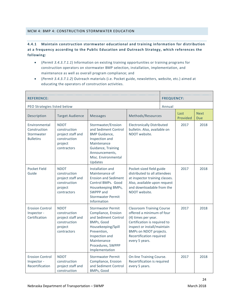## <span id="page-29-0"></span>MCM 4: BMP 4: CONSTRUCTION STORMWATER EDUCATION

## **4.4.1 Maintain construction stormwater educational and training information for distribution at a frequency according to the Public Education and Outreach Strategy, which references the following:**

- (*Permit 3.4.3.7.1.1*) Information on existing training opportunities or training programs for construction operators on stormwater BMP selection, installation, implementation, and maintenance as well as overall program compliance; and
- (*Permit 3.4.3.7.1.2*) Outreach materials (i.e. Pocket guide, newsletters, website, etc.) aimed at educating the operators of construction activities.

| <b>REFERENCE:</b>                                               |                                                                                            |                                                                                                                                                                                                    |                                                                                                                                                                                                                             |      | <b>FREQUENCY:</b> |      |  |  |                  |                           |
|-----------------------------------------------------------------|--------------------------------------------------------------------------------------------|----------------------------------------------------------------------------------------------------------------------------------------------------------------------------------------------------|-----------------------------------------------------------------------------------------------------------------------------------------------------------------------------------------------------------------------------|------|-------------------|------|--|--|------------------|---------------------------|
| PEO Strategies listed below                                     | Annual                                                                                     |                                                                                                                                                                                                    |                                                                                                                                                                                                                             |      |                   |      |  |  |                  |                           |
| Description                                                     | <b>Target Audience</b>                                                                     | <b>Messages</b>                                                                                                                                                                                    | Methods/Resources                                                                                                                                                                                                           |      |                   |      |  |  | Last<br>Provided | <b>Next</b><br><b>Due</b> |
| Environmental<br>Construction<br>Stormwater<br><b>Bulletins</b> | <b>NDOT</b><br>construction<br>project staff and<br>construction<br>project<br>contractors | Stormwater/Erosion<br>and Sediment Control<br><b>BMP</b> Guidance,<br>Inspection and<br>Maintenance<br>Guidance, Training<br>Announcements,<br>Misc. Environmental<br>Updates                      | <b>Electronically Distributed</b><br>bulletin. Also, available on<br>NDOT website.                                                                                                                                          |      | 2017              | 2018 |  |  |                  |                           |
| Pocket Field<br>Guide                                           | <b>NDOT</b><br>construction<br>project staff and<br>construction<br>project<br>contractors | Installation and<br>Maintenance of<br><b>Erosion and Sediment</b><br>Control BMPs. Good<br>Housekeeping BMPs,<br>SWPPP and<br><b>Stormwater Permit</b><br>Information                              | Pocket-sized field guide<br>distributed to all attendees<br>at inspector training classes.<br>Also, available upon request<br>and downloadable from the<br>NDOT website.                                                    | 2017 | 2018              |      |  |  |                  |                           |
| <b>Erosion Control</b><br>Inspector -<br>Certification          | <b>NDOT</b><br>construction<br>project staff and<br>construction<br>project<br>contractors | <b>Stormwater Permit</b><br>Compliance, Erosion<br>and Sediment Control<br>BMPs, Good<br>Housekeeping/Spill<br>Prevention,<br>Inspection and<br>Maintenance<br>Procedures, SWPPP<br>Implementation | <b>Classroom Training Course</b><br>offered a minimum of four<br>(4) times per year.<br>Certification is required to<br>inspect or install/maintain<br>BMPs on NDOT projects.<br>Recertification required<br>every 5 years. |      | 2017              | 2018 |  |  |                  |                           |
| <b>Erosion Control</b><br>Inspector -<br>Recertification        | <b>NDOT</b><br>construction<br>project staff and<br>construction                           | <b>Stormwater Permit</b><br>Compliance, Erosion<br>and Sediment Control<br>BMPs, Good                                                                                                              | On-line Training Course.<br>Recertification is required<br>every 5 years.                                                                                                                                                   |      | 2017              | 2018 |  |  |                  |                           |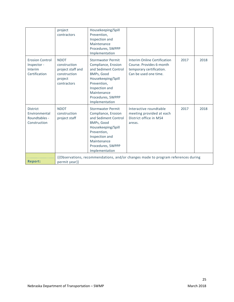|                                                                   | project<br>contractors                                                                     | Housekeeping/Spill<br>Prevention,<br>Inspection and<br>Maintenance<br>Procedures, SWPPP<br>Implementation                                                                                          |                                                                                                               |      |      |
|-------------------------------------------------------------------|--------------------------------------------------------------------------------------------|----------------------------------------------------------------------------------------------------------------------------------------------------------------------------------------------------|---------------------------------------------------------------------------------------------------------------|------|------|
| <b>Erosion Control</b><br>Inspector -<br>Interim<br>Certification | <b>NDOT</b><br>construction<br>project staff and<br>construction<br>project<br>contractors | <b>Stormwater Permit</b><br>Compliance, Erosion<br>and Sediment Control<br>BMPs, Good<br>Housekeeping/Spill<br>Prevention,<br>Inspection and<br>Maintenance<br>Procedures, SWPPP<br>Implementation | Interim Online Certification<br>Course, Provides 6-month<br>temporary certification.<br>Can be used one time. | 2017 | 2018 |
| <b>District</b><br>Environmental<br>Roundtables -<br>Construction | <b>NDOT</b><br>construction<br>project staff                                               | <b>Stormwater Permit</b><br>Compliance, Erosion<br>and Sediment Control<br>BMPs, Good<br>Housekeeping/Spill<br>Prevention,<br>Inspection and<br>Maintenance<br>Procedures, SWPPP<br>Implementation | Interactive roundtable<br>meeting provided at each<br>District office in MS4<br>areas.                        | 2017 | 2018 |
| <b>Report:</b>                                                    | permit year}}                                                                              |                                                                                                                                                                                                    | {{Observations, recommendations, and/or changes made to program references during                             |      |      |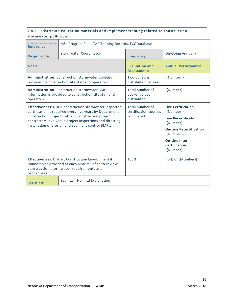## **4.4.2 Distribute education materials and implement training related to construction stormwater pollution.**

| <b>Reference:</b>                                                                                                                                                                                                                                                                                  | MS4 Program File, LTAP Training Records, ECODatabase                                                                                                            |                                                       |                                                                                                                                                                                                       |  |  |
|----------------------------------------------------------------------------------------------------------------------------------------------------------------------------------------------------------------------------------------------------------------------------------------------------|-----------------------------------------------------------------------------------------------------------------------------------------------------------------|-------------------------------------------------------|-------------------------------------------------------------------------------------------------------------------------------------------------------------------------------------------------------|--|--|
| <b>Responsible:</b>                                                                                                                                                                                                                                                                                | <b>Stormwater Coordinator</b>                                                                                                                                   | <b>Frequency:</b>                                     | <b>On-Going Annually</b>                                                                                                                                                                              |  |  |
| Goals:                                                                                                                                                                                                                                                                                             |                                                                                                                                                                 | <b>Evaluation and</b><br>Assessment:                  | <b>Annual Performance:</b>                                                                                                                                                                            |  |  |
|                                                                                                                                                                                                                                                                                                    | <b>Administration: Construction stormwater bulletins</b><br>provided to construction site staff and operators.                                                  | Two bulletins<br>distributed per year                 | ${Number}}$                                                                                                                                                                                           |  |  |
| <b>Administration: Construction stormwater BMP</b><br>information is provided to construction site staff and<br>operators.                                                                                                                                                                         |                                                                                                                                                                 | Total number of<br>pocket guides<br>distributed       | ${Number}}$                                                                                                                                                                                           |  |  |
| <b>Effectiveness: NDOT construction stormwater inspector</b><br>certification is required every five years by Department<br>construction project staff and construction project<br>contractors involved in project inspections and directing<br>installation of erosion and sediment control BMPs. |                                                                                                                                                                 | Total number of<br>certification courses<br>completed | <b>Live Certification</b><br>${Number}$<br><b>Live Recertification</b><br>${Number}}$<br><b>On-Line Recertification</b><br>{{Number}}<br><b>On-Line Interim</b><br><b>Certification</b><br>{{Number}} |  |  |
| procedures                                                                                                                                                                                                                                                                                         | <b>Effectiveness: District Construction Environmental</b><br>Roundtables provided at each District Office to review<br>construction stormwater requirements and | 100%                                                  | $\{\{\% \}\}\$ of $\{\text{Number}\}\}$                                                                                                                                                               |  |  |
| $\Box$ Explanation:<br><b>Yes</b><br><b>No</b><br>Satisfied:                                                                                                                                                                                                                                       |                                                                                                                                                                 |                                                       |                                                                                                                                                                                                       |  |  |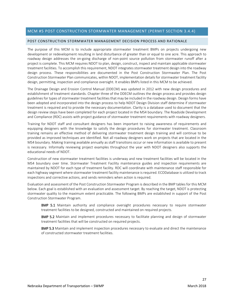## <span id="page-32-0"></span>MCM #5 POST CONSTRUCTION STORMWATER MANAGEMENT (PERMIT SECTION 3.4.4)

#### <span id="page-32-1"></span>POST CONSTRUCTION STORMWATER MANAGEMENT DECISION PROCESS AND RATIONALE

The purpose of this MCM is to include appropriate stormwater treatment BMPs on projects undergoing new development or redevelopment resulting in land disturbance of greater than or equal to one acre. This approach to roadway design addresses the on-going discharge of non-point source pollution from stormwater runoff after a project is complete. This MCM requires NDOT to plan, design, construct, inspect and maintain applicable stormwater treatment facilities. To accomplish this requirement, NDOT integrates stormwater treatment design into the roadway design process. These responsibilities are documented in the Post Construction Stormwater Plan. The Post Construction Stormwater Plan communicates, within NDOT, implementation details for stormwater treatment facility design, permitting, inspection and compliance oversight. It enables BMPs listed in this MCM to be achieved.

The Drainage Design and Erosion Control Manual (DDECM) was updated in 2012 with new design procedures and establishment of treatment standards. Chapter three of the DDECM outlines the design process and provides design guidelines for types of stormwater treatment facilities that may be included in the roadway design. Design forms have been adopted and incorporated into the design process to help NDOT Design Division staff determine if stormwater treatment is required and to provide the necessary documentation. Clarity is a database used to document that the design review steps have been completed for each project located in the MS4 boundary. The Roadside Development and Compliance (RDC) assists with project guidance of stormwater treatment requirements with roadway designers.

Training for NDOT staff and consultant designers has been important to raising awareness of requirements and equipping designers with the knowledge to satisfy the design procedures for stormwater treatment. Classroom training remains an effective method of delivering stormwater treatment design training and will continue to be provided as improved techniques are identified. Not all roadway designers work on projects that are located in the MS4 boundary. Making training available annually as staff transitions occur or new information is available to present is necessary. Informally reviewing project examples throughout the year with NDOT designers also supports the educational needs of NDOT.

Construction of new stormwater treatment facilities is underway and new treatment facilities will be located in the MS4 boundary over time. Stormwater Treatment Facility maintenance guides and inspection requirements are maintained by NDOT for each type of treatment facility. RDC will coordinate with maintenance staff responsible for each highway segment where stormwater treatment facility maintenance is required. ECODatabase is utilized to track inspections and corrective actions, and sends reminders when action is required.

Evaluation and assessment of the Post Construction Stormwater Program is described in the BMP tables for this MCM below. Each goal is established with an evaluation and assessment target. By reaching the target, NDOT is protecting stormwater quality to the maximum extent practicable. The following BMPs are established in support of the Post Construction Stormwater Program.

**BMP 5.1** Maintain authority and compliance oversight procedures necessary to require stormwater treatment facilities to be designed, constructed and maintained on required projects.

BMP 5.2 Maintain and implement procedures necessary to facilitate planning and design of stormwater treatment facilities that will be constructed on required projects.

**BMP 5.3** Maintain and implement inspection procedures necessary to evaluate and direct the maintenance of constructed stormwater treatment facilities.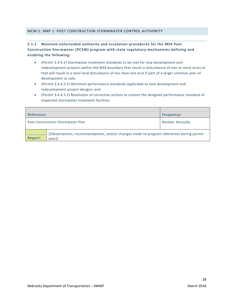## <span id="page-33-0"></span>MCM 5: BMP 1: POST CONSTRUCTION STORMWATER CONTROL AUTHORITY

## **5.1.1 Maintain enforceable authority and escalation procedures for the MS4 Post Construction Stormwater (PCSW) program with state regulatory mechanisms defining and enabling the following:**

- (*Permit 3.4.4.1*) Stormwater treatment standards to be met for new development and redevelopment projects within the MS4 boundary that result in disturbance of one or more acres or that will result in a total land disturbance of less than one acre if part of a larger common plan of development or sale;
- (*Permit 3.4.4.2.1*) Minimum performance standards applicable to new development and redevelopment project designs; and
- (*Permit 3.4.4.5.1*) Resolution of corrective actions to restore the designed performance standard of inspected stormwater treatment facilities.

| Reference:                                                                                                   |                                          | <b>Frequency:</b> |  |  |
|--------------------------------------------------------------------------------------------------------------|------------------------------------------|-------------------|--|--|
|                                                                                                              | <b>Post Construction Stormwater Plan</b> | Review: Annually  |  |  |
| {{Observations, recommendations, and/or changes made to program references during permit<br>Report:<br>year} |                                          |                   |  |  |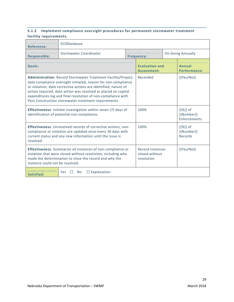## **5.1.2 Implement compliance oversight procedures for permanent stormwater treatment facility requirements.**

| <b>Reference:</b>                                                                                                                                                                                                                                                                                                                                                                            | ECODatabase                                     |  |                                                  |  |                                                 |  |
|----------------------------------------------------------------------------------------------------------------------------------------------------------------------------------------------------------------------------------------------------------------------------------------------------------------------------------------------------------------------------------------------|-------------------------------------------------|--|--------------------------------------------------|--|-------------------------------------------------|--|
| <b>Responsible:</b>                                                                                                                                                                                                                                                                                                                                                                          | Stormwater Coordinator                          |  | <b>Frequency:</b>                                |  | <b>On-Going Annually</b>                        |  |
| Goals:                                                                                                                                                                                                                                                                                                                                                                                       |                                                 |  | <b>Evaluation and</b><br>Assessment:             |  | Annual<br><b>Performance:</b>                   |  |
| Administration: Record Stormwater Treatment Facility/Project,<br>date compliance oversight initiated, reason for non-compliance<br>or violation, date corrective actions are identified, nature of<br>action required, date action was resolved or placed on capital<br>expenditures log and final resolution of non-compliance with<br>Post Construction stormwater treatment requirements. |                                                 |  | Recorded                                         |  | ${Yes/No}$                                      |  |
| Effectiveness: Initiate investigation within seven (7) days of<br>identification of potential non-compliance.                                                                                                                                                                                                                                                                                |                                                 |  | 100%                                             |  | $\{\{\% \}\}\$ of<br>{{Number}}<br>Enforcements |  |
| <b>Effectiveness:</b> Unresolved records of corrective actions, non-<br>compliance or violation are updated once every 30 days with<br>current status and any new information until the issue is<br>resolved.                                                                                                                                                                                |                                                 |  | 100%                                             |  | $\{\{\% \}\}\$ of<br>{{Number}}<br>Records      |  |
| <b>Effectiveness:</b> Summarize all instances of non-compliance or<br>violation that were closed without resolution, including who<br>made the determination to close the record and why the<br>instance could not be resolved.                                                                                                                                                              |                                                 |  | Record instances<br>closed without<br>resolution |  | $\{ \{ Yes/No \} \}$                            |  |
| Satisfied:                                                                                                                                                                                                                                                                                                                                                                                   | $\square$ Explanation:<br>Yes<br>No.<br>$\perp$ |  |                                                  |  |                                                 |  |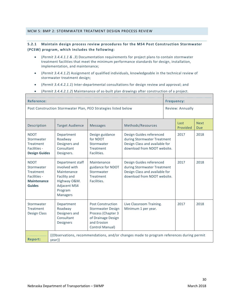## <span id="page-35-0"></span>**5.2.1 Maintain design process review procedures for the MS4 Post Construction Stormwater (PCSW) program, which includes the following:**

- (*Permit 3.4.4.1.1 & .3*) Documentation requirements for project plans to contain stormwater treatment facilities that meet the minimum performance standards for design, installation, implementation, and maintenance;
- (*Permit 3.4.4.1.2*) Assignment of qualified individuals, knowledgeable in the technical review of stormwater treatment design;
- (*Permit 3.4.4.2.1.1*) Inter-departmental consultations for design review and approval; and
- (*Permit 3.4.4.2.1.2*) Maintenance of as-built plan drawings after construction of a project.

| <b>Reference:</b>                                                                                    |                                                                                                                                       | <b>Frequency:</b>                                                                                                                  |                                                                                                                          |      |                  |                           |  |
|------------------------------------------------------------------------------------------------------|---------------------------------------------------------------------------------------------------------------------------------------|------------------------------------------------------------------------------------------------------------------------------------|--------------------------------------------------------------------------------------------------------------------------|------|------------------|---------------------------|--|
| Post Construction Stormwater Plan, PEO Strategies listed below                                       |                                                                                                                                       |                                                                                                                                    |                                                                                                                          |      | Review: Annually |                           |  |
| Description                                                                                          | <b>Target Audience</b>                                                                                                                | <b>Messages</b>                                                                                                                    | Methods/Resources                                                                                                        |      | Last<br>Provided | <b>Next</b><br><b>Due</b> |  |
| <b>NDOT</b><br>Stormwater<br><b>Treatment</b><br>Facilities -<br><b>Design Guides</b>                | Department<br>Roadway<br>Designers and<br>Consultant<br>Designers.                                                                    | Design guidance<br>for NDOT<br>Stormwater<br><b>Treatment</b><br>Facilities.                                                       | Design Guides referenced<br>during Stormwater Treatment<br>Design Class and available for<br>download from NDOT website. | 2017 | 2018             |                           |  |
| <b>NDOT</b><br>Stormwater<br><b>Treatment</b><br>Facilities -<br><b>Maintenance</b><br><b>Guides</b> | Department staff<br>involved with<br>Maintenance<br>Facility and<br>Highway O&M.<br><b>Adjacent MS4</b><br>Program<br><b>Managers</b> | Maintenance<br>guidance for NDOT<br>Stormwater<br>Treatment<br>Facilities.                                                         | Design Guides referenced<br>during Stormwater Treatment<br>Design Class and available for<br>download from NDOT website. |      | 2017             | 2018                      |  |
| Stormwater<br><b>Treatment</b><br>Design Class                                                       | Department<br>Roadway<br>Designers and<br>Consultant<br>Designers                                                                     | <b>Post Construction</b><br><b>Stormwater Design</b><br>Process (Chapter 3<br>of Drainage Design<br>and Erosion<br>Control Manual) | Live Classroom Training.<br>Minimum 1 per year.                                                                          |      | 2017             | 2018                      |  |
| <b>Report:</b>                                                                                       | {{Observations, recommendations, and/or changes made to program references during permit<br>$\{year\}$                                |                                                                                                                                    |                                                                                                                          |      |                  |                           |  |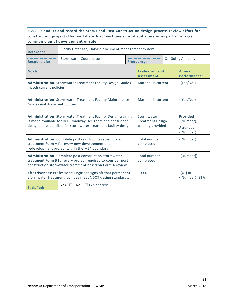# **5.2.2 Conduct and record the status and Post Construction design process review effort for construction projects that will disturb at least one acre of soil alone or as part of a larger common plan of development or sale.**

| <b>Reference:</b>                                                                                                                                                                              | Clarity Database, OnBase document management system |  |                                                            |  |                                                                  |  |
|------------------------------------------------------------------------------------------------------------------------------------------------------------------------------------------------|-----------------------------------------------------|--|------------------------------------------------------------|--|------------------------------------------------------------------|--|
| <b>Responsible:</b>                                                                                                                                                                            | <b>Stormwater Coordinator</b>                       |  | <b>On-Going Annually</b><br><b>Frequency:</b>              |  |                                                                  |  |
| Goals:                                                                                                                                                                                         |                                                     |  | <b>Evaluation and</b><br>Assessment:                       |  | Annual<br><b>Performance:</b>                                    |  |
| <b>Administration: Stormwater Treatment Facility Design Guides</b><br>match current policies.                                                                                                  |                                                     |  | Material is current                                        |  | $\{ \{ Yes/No \} \}$                                             |  |
| <b>Administration: Stormwater Treatment Facility Maintenance</b><br>Guides match current policies.                                                                                             |                                                     |  | Material is current                                        |  | $\{ \{ Yes/No \} \}$                                             |  |
| Administration: Stormwater Treatment Facility Design training<br>is made available for DOT Roadway Designers and consultant<br>designers responsible for stormwater treatment facility design. |                                                     |  | Stormwater<br><b>Treatment Design</b><br>training provided |  | <b>Provided</b><br>${Number}}$<br><b>Attended</b><br>${Number}}$ |  |
| <b>Administration:</b> Complete post construction stormwater<br>treatment Form A for every new development and<br>redevelopment project within the MS4 boundary                                |                                                     |  | Total number<br>completed                                  |  | {{Number}}                                                       |  |
| Administration: Complete post construction stormwater<br>treatment Form B for every project required to consider post<br>construction stormwater treatment based on Form A review.             |                                                     |  | <b>Total number</b><br>completed                           |  | ${Number}$                                                       |  |
| <b>Effectiveness: Professional Engineer signs off that permanent</b><br>100%<br>$\{\{\% \}\}\$ of<br>stormwater treatment facilities meet NDOT design standards.                               |                                                     |  |                                                            |  | {{Number}} STFs                                                  |  |
| $\Box$ Explanation:<br>Yes<br>No.<br>Satisfied:                                                                                                                                                |                                                     |  |                                                            |  |                                                                  |  |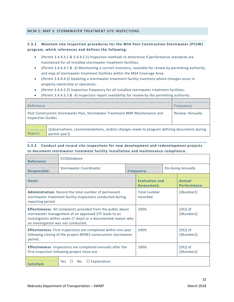#### <span id="page-37-0"></span>MCM 5: BMP 3: STORMWATER TREATMENT SITE INSPECTIONS

## **5.3.1 Maintain site inspection procedures for the MS4 Post Construction Stormwater (PCSW) program, which references and defines the following:**

- (*Permit 3.4.4.3.1 & 3.4.4.5.1*) Inspection methods to determine if performance standards are maintained for all installed stormwater treatment facilities;
- (*Permit 3.4.4.4.1 & .3*) Maintaining a current inventory, available for review by permitting authority, and map of stormwater treatment facilities within the MS4 Coverage Area;
- (*Permit 3.4.4.4.2*) Updating a stormwater treatment facility inventory where changes occur in property ownership or operation;
- (*Permit 3.4.4.5.2*) Inspection frequency for all installed stormwater treatment facilities;
- (*Permit 3.4.4.5.3 & .4*) Inspection report availability for review by the permitting authority.

| Reference                                                                                               | Frequency                                                                                                  |                  |
|---------------------------------------------------------------------------------------------------------|------------------------------------------------------------------------------------------------------------|------------------|
| Post Construction Stormwater Plan, Stormwater Treatment BMP Maintenance and<br><b>Inspection Guides</b> |                                                                                                            | Review: Annually |
| Report:                                                                                                 | {{observations, recommendations, and/or changes made to program defining documents during<br>permit year}} |                  |

## **5.3.2 Conduct and record site inspections for new development and redevelopment projects to document stormwater treatment facility installation and maintenance compliance.**

| <b>Reference:</b>                                                                                                                                                                                                                    | ECODatabase                       |      |                                      |                                 |                                  |  |
|--------------------------------------------------------------------------------------------------------------------------------------------------------------------------------------------------------------------------------------|-----------------------------------|------|--------------------------------------|---------------------------------|----------------------------------|--|
| <b>Responsible:</b>                                                                                                                                                                                                                  | Stormwater Coordinator            |      | <b>Frequency:</b>                    |                                 | <b>On-Going Annually</b>         |  |
| Goals:                                                                                                                                                                                                                               |                                   |      | <b>Evaluation and</b><br>Assessment: | Annual<br><b>Performance:</b>   |                                  |  |
| <b>Administration:</b> Record the total number of permanent<br>stormwater treatment facility inspections conducted during<br>reporting period                                                                                        |                                   |      | Total number<br>recorded             |                                 | ${Number}$                       |  |
| <b>Effectiveness:</b> All complaints provided from the public about<br>stormwater management of an approved STF leads to an<br>investigation within seven (7 days) or a documented reason why<br>an investigation was not conducted. |                                   |      | 100%                                 |                                 | $\{\{\% \}\}\$ of<br>${Number}$  |  |
| <b>Effectiveness:</b> First inspections are completed within one year<br>following closing of the project NPDES construction stormwater<br>permit.                                                                                   |                                   |      | 100%                                 |                                 | $\{\{\% \}\}\$ of<br>${Number}}$ |  |
| <b>Effectiveness:</b> Inspections are completed annually after the<br>first inspection following project close out.                                                                                                                  |                                   | 100% |                                      | $\{\{\% \}\}\$ of<br>${Number}$ |                                  |  |
| Satisfied:                                                                                                                                                                                                                           | $\Box$ Explanation:<br>No.<br>Yes |      |                                      |                                 |                                  |  |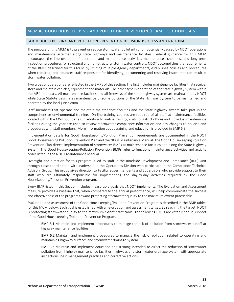#### <span id="page-38-0"></span>MCM #6 GOOD HOUSEKEEPING AND POLLUTION PREVENTION (PERMIT SECTION 3.4.5)

#### <span id="page-38-1"></span>GOOD HOUSEKEEPING AND POLLUTION PREVENTION DECISION PROCESS AND RATIONALE

The purpose of this MCM is to prevent or reduce stormwater pollutant runoff potentially caused by NDOT operations and maintenance activities along state highways and maintenance facilities. Federal guidance for this MCM encourages the improvement of operation and maintenance activities, maintenance schedules, and long-term inspection procedures for structural and non-structural storm water controls. NDOT accomplishes the requirements of the BMPs described for this MCM by utilizing multiple Agency departments, establishes policies and procedures when required, and educates staff responsible for identifying, documenting and resolving issues that can result in stormwater pollution.

Two types of operations are reflected in the BMPs of this section. The first includes maintenance facilities that receive, store and maintain vehicles, equipment and materials. The other type is operation of the state highway system within the MS4 boundary. All maintenance facilities and all freeways of the state highway system are maintained by NDOT while State Statute designates maintenance of some portions of the State Highway System to be maintained and operated by the local jurisdiction.

Staff members that operate and maintain maintenance facilities and the state highway system take part in the comprehensive environmental training. On-line training courses are required of all staff at maintenance facilities located within the MS4 boundaries. In addition to on-line training, visits to District offices and individual maintenance facilities during the year are used to review stormwater compliance information and any changes to policies and procedures with staff members. More information about training and education is provided in BMP 6.3.

Implementation details for Good Housekeeping/Pollution Prevention requirements are documented in the NDOT Good Housekeeping Pollution Prevention Plan and the NDOT Maintenance Manual. The Good Housekeeping Pollution Prevention Plan directs implementation of stormwater BMPs at maintenance facilities and along the State Highway System. The Good Housekeeping/Pollution Prevention BMPs refer to functional maintenance activities and activity codes listed in the NDOT Maintenance Manual.

Oversight and direction for this program is led by staff in the Roadside Development and Compliance (RDC) Unit through close coordination with leadership in the Operations Division who participate in the Compliance Technical Advisory Group. This group gives direction to Facility Superintendents and Supervisors who provide support to their staff who are ultimately responsible for implementing the day-to-day activities required by the Good Housekeeping/Pollution Prevention program.

Every BMP listed in this Section includes measurable goals that NDOT implements. The Evaluation and Assessment measure provides a baseline that, when compared to the annual performance, will help communicate the success and effectiveness of the program toward protecting stormwater quality to the maximum extent practicable.

Evaluation and assessment of the Good Housekeeping/Pollution Prevention Program is described in the BMP tables for this MCM below. Each goal is established with an evaluation and assessment target. By reaching the target, NDOT is protecting stormwater quality to the maximum extent practicable. The following BMPs are established in support of the Good Housekeeping/Pollution Prevention Program.

**BMP 6.1** Maintain and implement procedures to manage the risk of pollution from stormwater runoff at highway maintenance facilities.

**BMP 6.2** Maintain and implement procedures to manage the risk of pollution related to operating and maintaining highway surfaces and stormwater drainage system.

BMP 6.3 Maintain and implement education and training intended to direct the reduction of stormwater pollution from highway maintenance facilities, highways and stormwater drainage system with appropriate inspections, best management practices and corrective actions.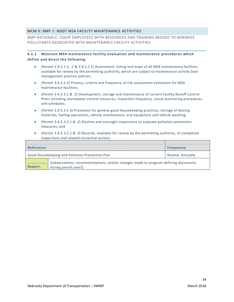## <span id="page-39-0"></span>MCM 6: BMP 1: NDOT MS4 FACILITY MAINTENANCE ACTIVITIES

BMP RATIONALE: EQUIP EMPLOYEES WITH RESOURCES AND TRAINING NEEDED TO MINIMIZE POLLUTANTS ASSOCIATED WITH MAINTENANCE FACILITY ACTIVITIES.

## **6.1.1 Maintain MS4 maintenance facility evaluation and maintenance procedures which define and direct the following:**

- (*Permit 3.4.5.1.1, .2 & 3.4.5.2.1*) Assessment, listing and maps of all MS4 maintenance facilities, available for review by the permitting authority, which are subject to maintenance activity best management practice policies;
- (*Permit 3.4.5.2.2*) Process, criteria and frequency of risk assessment evaluation for MS4 maintenance facilities;
- (*Permit 3.4.5.3.1 & .2*) Development, storage and maintenance of current Facility Runoff Control Plans including stormwater control measures, inspection frequency, visual monitoring procedures, and schedules;
- (*Permit 3.4.5.3.1.3*) Provisions for general good housekeeping practices, storage of deicing materials, fueling operations, vehicle maintenance, and equipment and vehicle washing;
- (*Permit 3.4.5.3.2.1 & .2*) Routine and oversight inspections to evaluate pollution prevention measures; and
- (*Permit 3.4.5.3.2.1 & .3*) Records, available for review by the permitting authority, of completed inspections and related corrective actions.

| Reference: |                                                                                                            | <b>Frequency:</b> |
|------------|------------------------------------------------------------------------------------------------------------|-------------------|
|            | Good Housekeeping and Pollution Prevention Plan                                                            | Review: Annually  |
| Report:    | {{observations, recommendations, and/or changes made to program defining documents<br>during permit year}} |                   |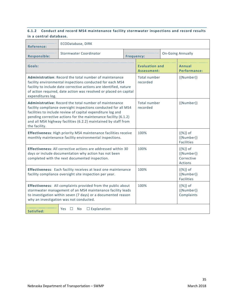## **6.1.2 Conduct and record MS4 maintenance facility stormwater inspections and record results in a central database.**

| <b>Reference:</b>                                                                                                                                                                                                                                                                                                                               | ECODatabase, DIRK                              |  |                                      |  |                                                          |  |
|-------------------------------------------------------------------------------------------------------------------------------------------------------------------------------------------------------------------------------------------------------------------------------------------------------------------------------------------------|------------------------------------------------|--|--------------------------------------|--|----------------------------------------------------------|--|
| <b>Responsible:</b>                                                                                                                                                                                                                                                                                                                             | Stormwater Coordinator                         |  | <b>Frequency:</b>                    |  | <b>On-Going Annually</b>                                 |  |
| Goals:                                                                                                                                                                                                                                                                                                                                          |                                                |  | <b>Evaluation and</b><br>Assessment: |  | Annual<br><b>Performance:</b>                            |  |
| Administration: Record the total number of maintenance<br>facility environmental inspections conducted for each MS4<br>facility to include date corrective actions are identified, nature<br>of action required, date action was resolved or placed on capital<br>expenditures log.                                                             |                                                |  | Total number<br>recorded             |  | ${Number}}$                                              |  |
| Administrative: Record the total number of maintenance<br>facility compliance oversight inspections conducted for all MS4<br>facilities to include review of capital expenditure log and<br>pending corrective actions for the maintenance facility (6.1.2)<br>and all MS4 highway facilities (6.2.2) maintained by staff from<br>the facility. |                                                |  | <b>Total number</b><br>recorded      |  | ${Number}}$                                              |  |
| <b>Effectiveness:</b> High priority MS4 maintenance facilities receive<br>monthly maintenance facility environmental inspections.                                                                                                                                                                                                               |                                                |  | 100%                                 |  | $\{\{\% \}\}\$ of<br>${Number}}$<br><b>Facilities</b>    |  |
| <b>Effectiveness:</b> All corrective actions are addressed within 30<br>days or include documentation why action has not been<br>completed with the next documented inspection.                                                                                                                                                                 |                                                |  | 100%                                 |  | $\{\{\% \}\}\$ of<br>{{Number}}<br>Corrective<br>Actions |  |
| Effectiveness: Each facility receives at least one maintenance<br>facility compliance oversight site inspection per year.                                                                                                                                                                                                                       |                                                |  | 100%                                 |  | $\{\{\% \}\}\$ of<br>${Number}}$<br><b>Facilities</b>    |  |
| <b>Effectiveness:</b> All complaints provided from the public about<br>stormwater management of an MS4 maintenance facility leads<br>to investigation within seven (7 days) or a documented reason<br>why an investigation was not conducted.                                                                                                   |                                                |  | 100%                                 |  | $\{\{\% \}\}\$ of<br>{{Number}}<br>Complaints            |  |
| Satisfied:                                                                                                                                                                                                                                                                                                                                      | $\square$ Explanation:<br>Yes<br>$\Box$<br>No. |  |                                      |  |                                                          |  |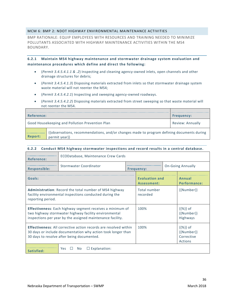## <span id="page-41-0"></span>MCM 6: BMP 2: NDOT HIGHWAY ENVIRONMENTAL MAINTENANCE ACTIVITIES

BMP RATIONALE: EQUIP EMPLOYEES WITH RESOURCES AND TRAINING NEEDED TO MINIMIZE POLLUTANTS ASSOCIATED WITH HIGHWAY MAINTENANCE ACTIVITIES WITHIN THE MS4 BOUNDARY.

**6.2.1 Maintain MS4 highway maintenance and stormwater drainage system evaluation and maintenance procedures which define and direct the following:**

- (*Permit 3.4.5.4.1.1 & .2*) Inspecting and cleaning agency-owned inlets, open channels and other drainage structures for debris;
- (*Permit 3.4.5.4.1.3*) Disposing materials extracted from inlets so that stormwater drainage system waste material will not reenter the MS4;
- (*Permit 3.4.5.4.2.1*) Inspecting and sweeping agency-owned roadways.
- (*Permit 3.4.5.4.2.2*) Disposing materials extracted from street sweeping so that waste material will not reenter the MS4.

| Reference:                                      | <b>Frequency:</b>                                                                                                |                         |  |
|-------------------------------------------------|------------------------------------------------------------------------------------------------------------------|-------------------------|--|
| Good Housekeeping and Pollution Prevention Plan |                                                                                                                  | <b>Review: Annually</b> |  |
| Report:                                         | {{observations, recommendations, and/or changes made to program defining documents during<br>$n$ ermit vear $\}$ |                         |  |

#### **6.2.2 Conduct MS4 highway stormwater inspections and record results in a central database.**

| <b>Reference:</b>                                                                                                                                                                       | ECODatabase, Maintenance Crew Cards      |                   |                               |                          |                                                          |  |
|-----------------------------------------------------------------------------------------------------------------------------------------------------------------------------------------|------------------------------------------|-------------------|-------------------------------|--------------------------|----------------------------------------------------------|--|
| <b>Responsible:</b>                                                                                                                                                                     | Stormwater Coordinator                   | <b>Frequency:</b> |                               | <b>On-Going Annually</b> |                                                          |  |
| Goals:                                                                                                                                                                                  |                                          |                   | Evaluation and<br>Assessment: |                          | Annual<br><b>Performance:</b>                            |  |
| <b>Administration:</b> Record the total number of MS4 highway<br>facility environmental inspections conducted during the<br>reporting period.                                           |                                          |                   | Total number<br>recorded      |                          | $\{$ Number $\}$                                         |  |
| <b>Effectiveness:</b> Each highway segment receives a minimum of<br>two highway stormwater highway facility environmental<br>inspections per year by the assigned maintenance facility. |                                          |                   | 100%                          |                          | $\{\{\% \}\}\$ of<br>${Number}}$<br><b>Highways</b>      |  |
| <b>Effectiveness:</b> All corrective action records are resolved within<br>30 days or include documentation why action took longer than<br>30 days to resolve after being documented.   |                                          |                   | 100%                          |                          | $\{\{\% \}\}\$ of<br>${Number}$<br>Corrective<br>Actions |  |
| Satisfied:                                                                                                                                                                              | $\Box$ Explanation:<br><b>Yes</b><br>No. |                   |                               |                          |                                                          |  |

permit year}}

 $\overline{\phantom{0}}$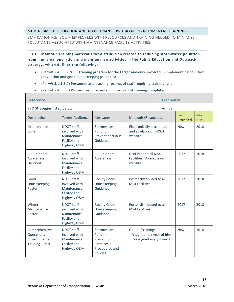## <span id="page-42-0"></span>MCM 6: BMP 3: OPERATION AND MAINTENANCE PROGRAM ENVIRONMENTAL TRAINING

BMP RATIONALE: EQUIP EMPLOYEES WITH RESOURCES AND TRAINING NEEDED TO MINIMIZE POLLUTANTS ASSOCIATED WITH MAINTENANCE FACILITY ACTIVITIES.

**6.3.1 Maintain training materials for distribution related to reducing stormwater pollution from municipal operation and maintenance activities in the Public Education and Outreach strategy, which defines the following:**

- (*Permit 3.4.5.5.1 & .3*) Training program for the target audience involved in implementing pollution prevention and good housekeeping practices;
- (*Permit 3.4.5.5.2*) Personnel and tracking records of staff requiring training; and
- (*Permit 3.4.5.5.3*) Procedures for maintaining records of training completed.

| <b>Reference:</b>                                                 |                                                                                  |                                                                                          |                                                                                     | <b>Frequency:</b> |                    |      |
|-------------------------------------------------------------------|----------------------------------------------------------------------------------|------------------------------------------------------------------------------------------|-------------------------------------------------------------------------------------|-------------------|--------------------|------|
| PEO Strategies listed below                                       |                                                                                  |                                                                                          |                                                                                     | Annual            |                    |      |
| Description                                                       | <b>Target Audience</b>                                                           | <b>Messages</b>                                                                          | Methods/Resources                                                                   | Last<br>Provided  | <b>Next</b><br>Due |      |
| Maintenance<br><b>Bulletin</b>                                    | NDOT staff<br>involved with<br>Maintenance<br>Facility and<br>Highway O&M        | Stormwater<br>Pollution<br>Prevention/FRCP<br>Guidance                                   | Electronically distributed<br>and available on NDOT<br>website.                     | <b>New</b>        | 2018               |      |
| <b>FRCP General</b><br>Awareness<br>Handout                       | NDOT staff<br>involved with<br>Maintenance<br>Facility and<br>Highway O&M        | <b>FRCP General</b><br>Awareness                                                         | Distribute to all MS4<br>Facilities. Available on<br>website.                       |                   | 2017               | 2018 |
| Good<br>Housekeeping<br>Poster                                    | <b>NDOT</b> staff<br>involved with<br>Maintenance<br>Facility and<br>Highway O&M | <b>Facility Good</b><br>Housekeeping<br>Guidance                                         | Poster distributed to all<br><b>MS4 Facilities</b>                                  | 2017              | 2018               |      |
| Winter<br>Maintenance<br>Poster                                   | NDOT staff<br>involved with<br>Maintenance<br>Facility and<br>Highway O&M        | <b>Facility Good</b><br>Housekeeping<br>Guidance                                         | Poster distributed to all<br><b>MS4 Facilities</b>                                  |                   | 2017               | 2018 |
| Comprehensive<br>Operations<br>Environmental<br>Training - Part 1 | NDOT staff<br>involved with<br>Maintenance<br>Facility and<br>Highway O&M        | Stormwater<br>Pollution<br>Prevention<br>Practices,<br>Procedures and<br><b>Policies</b> | <b>On-line Training:</b><br>Assigned first year of hire<br>Reassigned every 3 years |                   | <b>New</b>         | 2018 |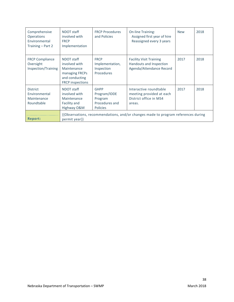| Comprehensive<br><b>Operations</b><br>Environmental<br>Training – Part 2 | NDOT staff<br>involved with<br><b>FRCP</b><br>Implementation                                              | <b>FRCP Procedures</b><br>and Policies                                      | <b>On-line Training:</b><br>Assigned first year of hire<br>Reassigned every 3 years    | <b>New</b> | 2018 |
|--------------------------------------------------------------------------|-----------------------------------------------------------------------------------------------------------|-----------------------------------------------------------------------------|----------------------------------------------------------------------------------------|------------|------|
| <b>FRCP Compliance</b><br>Oversight<br>Inspection/Training               | NDOT staff<br>involved with<br>Maintenance<br>managing FRCPs<br>and conducting<br><b>FRCP</b> inspections | <b>FRCP</b><br>Implementation,<br>Inspection<br>Procedures                  | <b>Facility Visit Training</b><br>Handouts and Inspection<br>Agenda/Attendance Record  | 2017       | 2018 |
| <b>District</b><br>Environmental<br>Maintenance<br>Roundtable            | NDOT staff<br>involved with<br>Maintenance<br>Facility and<br>Highway O&M                                 | <b>GHPP</b><br>Program/IDDE<br>Program<br>Procedures and<br><b>Policies</b> | Interactive roundtable<br>meeting provided at each<br>District office in MS4<br>areas. | 2017       | 2018 |
| <b>Report:</b>                                                           | {{Observations, recommendations, and/or changes made to program references during<br>permit year}}        |                                                                             |                                                                                        |            |      |